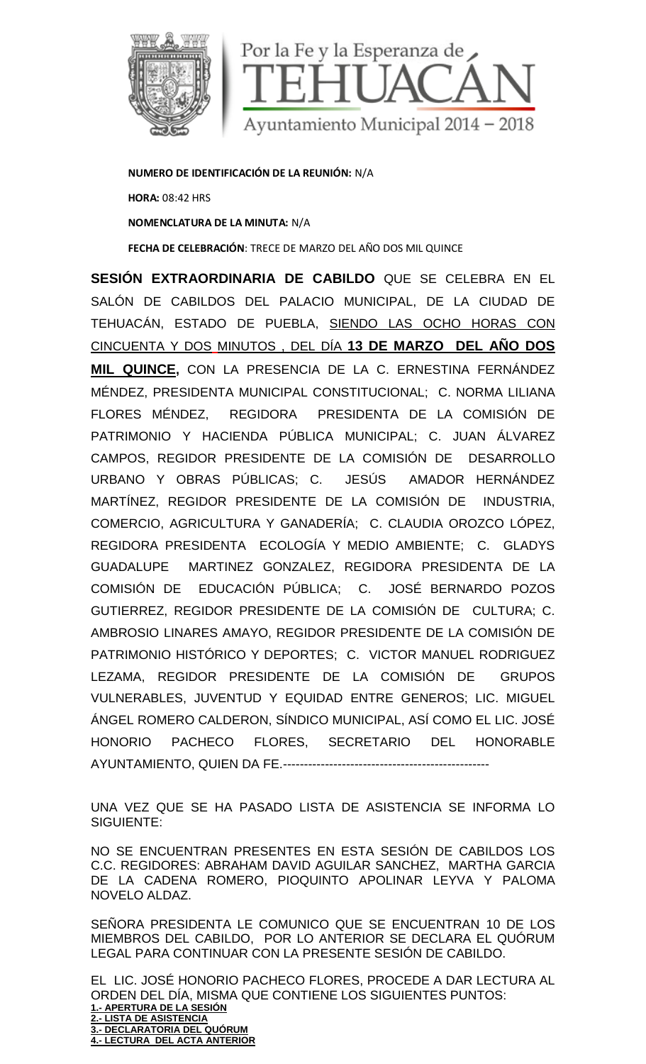

**NUMERO DE IDENTIFICACIÓN DE LA REUNIÓN:** N/A **HORA:** 08:42 HRS **NOMENCLATURA DE LA MINUTA:** N/A **FECHA DE CELEBRACIÓN**: TRECE DE MARZO DEL AÑO DOS MIL QUINCE

**SESIÓN EXTRAORDINARIA DE CABILDO** QUE SE CELEBRA EN EL SALÓN DE CABILDOS DEL PALACIO MUNICIPAL, DE LA CIUDAD DE TEHUACÁN, ESTADO DE PUEBLA, SIENDO LAS OCHO HORAS CON CINCUENTA Y DOS MINUTOS , DEL DÍA **13 DE MARZO DEL AÑO DOS MIL QUINCE,** CON LA PRESENCIA DE LA C. ERNESTINA FERNÁNDEZ MÉNDEZ, PRESIDENTA MUNICIPAL CONSTITUCIONAL; C. NORMA LILIANA FLORES MÉNDEZ, REGIDORA PRESIDENTA DE LA COMISIÓN DE PATRIMONIO Y HACIENDA PÚBLICA MUNICIPAL; C. JUAN ÁLVAREZ CAMPOS, REGIDOR PRESIDENTE DE LA COMISIÓN DE DESARROLLO URBANO Y OBRAS PÚBLICAS; C. JESÚS AMADOR HERNÁNDEZ MARTÍNEZ, REGIDOR PRESIDENTE DE LA COMISIÓN DE INDUSTRIA, COMERCIO, AGRICULTURA Y GANADERÍA; C. CLAUDIA OROZCO LÓPEZ, REGIDORA PRESIDENTA ECOLOGÍA Y MEDIO AMBIENTE; C. GLADYS GUADALUPE MARTINEZ GONZALEZ, REGIDORA PRESIDENTA DE LA COMISIÓN DE EDUCACIÓN PÚBLICA; C. JOSÉ BERNARDO POZOS GUTIERREZ, REGIDOR PRESIDENTE DE LA COMISIÓN DE CULTURA; C. AMBROSIO LINARES AMAYO, REGIDOR PRESIDENTE DE LA COMISIÓN DE PATRIMONIO HISTÓRICO Y DEPORTES; C. VICTOR MANUEL RODRIGUEZ LEZAMA, REGIDOR PRESIDENTE DE LA COMISIÓN DE GRUPOS VULNERABLES, JUVENTUD Y EQUIDAD ENTRE GENEROS; LIC. MIGUEL ÁNGEL ROMERO CALDERON, SÍNDICO MUNICIPAL, ASÍ COMO EL LIC. JOSÉ HONORIO PACHECO FLORES, SECRETARIO DEL HONORABLE AYUNTAMIENTO, QUIEN DA FE.-------------------------------------------------

UNA VEZ QUE SE HA PASADO LISTA DE ASISTENCIA SE INFORMA LO SIGUIENTE:

NO SE ENCUENTRAN PRESENTES EN ESTA SESIÓN DE CABILDOS LOS C.C. REGIDORES: ABRAHAM DAVID AGUILAR SANCHEZ, MARTHA GARCIA DE LA CADENA ROMERO, PIOQUINTO APOLINAR LEYVA Y PALOMA NOVELO ALDAZ.

SEÑORA PRESIDENTA LE COMUNICO QUE SE ENCUENTRAN 10 DE LOS MIEMBROS DEL CABILDO, POR LO ANTERIOR SE DECLARA EL QUÓRUM LEGAL PARA CONTINUAR CON LA PRESENTE SESIÓN DE CABILDO.

EL LIC. JOSÉ HONORIO PACHECO FLORES, PROCEDE A DAR LECTURA AL ORDEN DEL DÍA, MISMA QUE CONTIENE LOS SIGUIENTES PUNTOS: **1.- APERTURA DE LA SESIÓN 2.- LISTA DE ASISTENCIA 3.- DECLARATORIA DEL QUÓRUM 4.- LECTURA DEL ACTA ANTERIOR**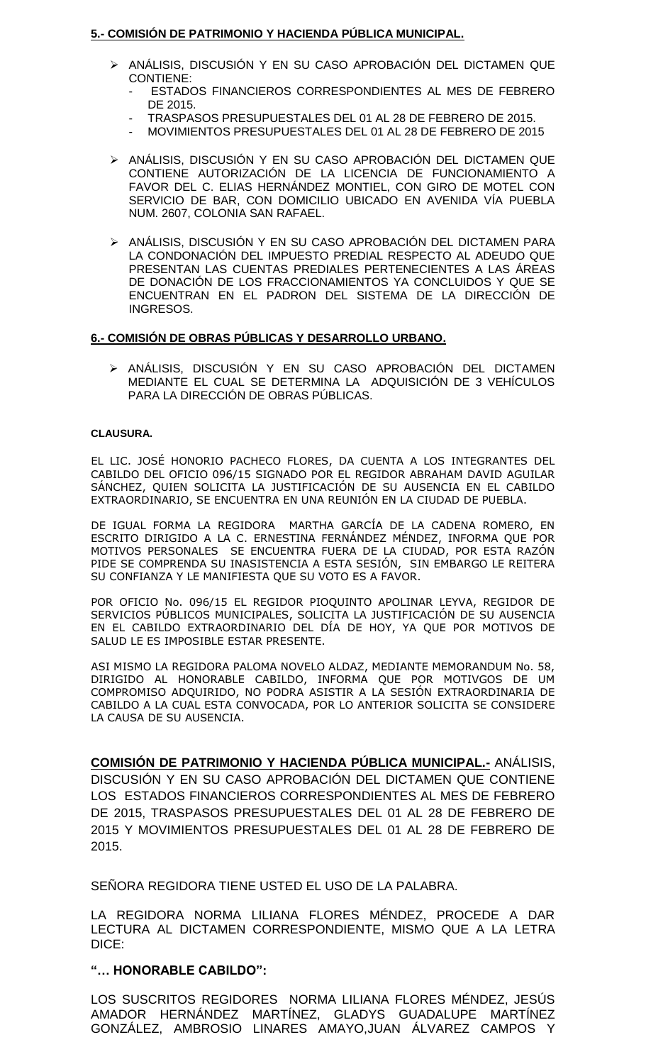## **5.- COMISIÓN DE PATRIMONIO Y HACIENDA PÚBLICA MUNICIPAL.**

- ≻ ANÁLISIS, DISCUSIÓN Y EN SU CASO APROBACIÓN DEL DICTAMEN QUE CONTIENE:
	- ESTADOS FINANCIEROS CORRESPONDIENTES AL MES DE FEBRERO DE 2015.
	- TRASPASOS PRESUPUESTALES DEL 01 AL 28 DE FEBRERO DE 2015.
	- MOVIMIENTOS PRESUPUESTALES DEL 01 AL 28 DE FEBRERO DE 2015
- ANÁLISIS, DISCUSIÓN Y EN SU CASO APROBACIÓN DEL DICTAMEN QUE CONTIENE AUTORIZACIÓN DE LA LICENCIA DE FUNCIONAMIENTO A FAVOR DEL C. ELIAS HERNÁNDEZ MONTIEL, CON GIRO DE MOTEL CON SERVICIO DE BAR, CON DOMICILIO UBICADO EN AVENIDA VÍA PUEBLA NUM. 2607, COLONIA SAN RAFAEL.
- ANÁLISIS, DISCUSIÓN Y EN SU CASO APROBACIÓN DEL DICTAMEN PARA LA CONDONACIÓN DEL IMPUESTO PREDIAL RESPECTO AL ADEUDO QUE PRESENTAN LAS CUENTAS PREDIALES PERTENECIENTES A LAS ÁREAS DE DONACIÓN DE LOS FRACCIONAMIENTOS YA CONCLUIDOS Y QUE SE ENCUENTRAN EN EL PADRON DEL SISTEMA DE LA DIRECCIÓN DE INGRESOS.

## **6.- COMISIÓN DE OBRAS PÚBLICAS Y DESARROLLO URBANO.**

 ANÁLISIS, DISCUSIÓN Y EN SU CASO APROBACIÓN DEL DICTAMEN MEDIANTE EL CUAL SE DETERMINA LA ADQUISICIÓN DE 3 VEHÍCULOS PARA LA DIRECCIÓN DE OBRAS PÚBLICAS.

#### **CLAUSURA.**

EL LIC. JOSÉ HONORIO PACHECO FLORES, DA CUENTA A LOS INTEGRANTES DEL CABILDO DEL OFICIO 096/15 SIGNADO POR EL REGIDOR ABRAHAM DAVID AGUILAR SÁNCHEZ, QUIEN SOLICITA LA JUSTIFICACIÓN DE SU AUSENCIA EN EL CABILDO EXTRAORDINARIO, SE ENCUENTRA EN UNA REUNIÓN EN LA CIUDAD DE PUEBLA.

DE IGUAL FORMA LA REGIDORA MARTHA GARCÍA DE LA CADENA ROMERO, EN ESCRITO DIRIGIDO A LA C. ERNESTINA FERNÁNDEZ MÉNDEZ, INFORMA QUE POR MOTIVOS PERSONALES SE ENCUENTRA FUERA DE LA CIUDAD, POR ESTA RAZÓN PIDE SE COMPRENDA SU INASISTENCIA A ESTA SESIÓN, SIN EMBARGO LE REITERA SU CONFIANZA Y LE MANIFIESTA QUE SU VOTO ES A FAVOR.

POR OFICIO No. 096/15 EL REGIDOR PIOQUINTO APOLINAR LEYVA, REGIDOR DE SERVICIOS PÚBLICOS MUNICIPALES, SOLICITA LA JUSTIFICACIÓN DE SU AUSENCIA EN EL CABILDO EXTRAORDINARIO DEL DÍA DE HOY, YA QUE POR MOTIVOS DE SALUD LE ES IMPOSIBLE ESTAR PRESENTE.

ASI MISMO LA REGIDORA PALOMA NOVELO ALDAZ, MEDIANTE MEMORANDUM No. 58, DIRIGIDO AL HONORABLE CABILDO, INFORMA QUE POR MOTIVGOS DE UM COMPROMISO ADQUIRIDO, NO PODRA ASISTIR A LA SESIÓN EXTRAORDINARIA DE CABILDO A LA CUAL ESTA CONVOCADA, POR LO ANTERIOR SOLICITA SE CONSIDERE LA CAUSA DE SU AUSENCIA.

**COMISIÓN DE PATRIMONIO Y HACIENDA PÚBLICA MUNICIPAL.-** ANÁLISIS, DISCUSIÓN Y EN SU CASO APROBACIÓN DEL DICTAMEN QUE CONTIENE LOS ESTADOS FINANCIEROS CORRESPONDIENTES AL MES DE FEBRERO DE 2015, TRASPASOS PRESUPUESTALES DEL 01 AL 28 DE FEBRERO DE 2015 Y MOVIMIENTOS PRESUPUESTALES DEL 01 AL 28 DE FEBRERO DE 2015.

SEÑORA REGIDORA TIENE USTED EL USO DE LA PALABRA.

LA REGIDORA NORMA LILIANA FLORES MÉNDEZ, PROCEDE A DAR LECTURA AL DICTAMEN CORRESPONDIENTE, MISMO QUE A LA LETRA DICE:

## **"… HONORABLE CABILDO":**

LOS SUSCRITOS REGIDORES NORMA LILIANA FLORES MÉNDEZ, JESÚS AMADOR HERNÁNDEZ MARTÍNEZ, GLADYS GUADALUPE MARTÍNEZ GONZÁLEZ, AMBROSIO LINARES AMAYO,JUAN ÁLVAREZ CAMPOS Y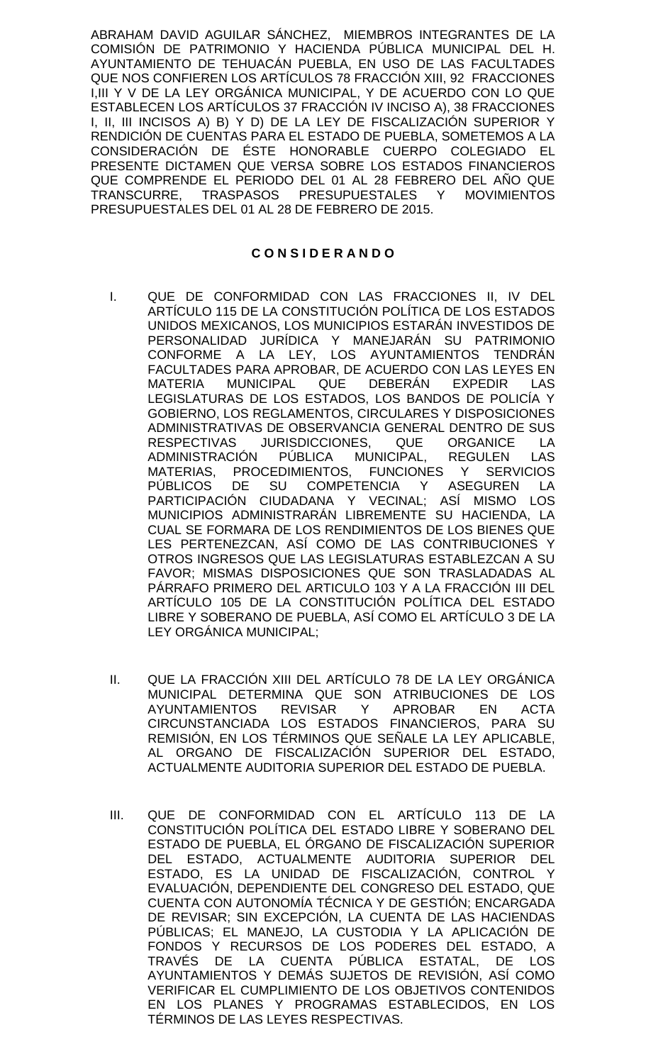ABRAHAM DAVID AGUILAR SÁNCHEZ, MIEMBROS INTEGRANTES DE LA COMISIÓN DE PATRIMONIO Y HACIENDA PÚBLICA MUNICIPAL DEL H. AYUNTAMIENTO DE TEHUACÁN PUEBLA, EN USO DE LAS FACULTADES QUE NOS CONFIEREN LOS ARTÍCULOS 78 FRACCIÓN XIII, 92 FRACCIONES I,III Y V DE LA LEY ORGÁNICA MUNICIPAL, Y DE ACUERDO CON LO QUE ESTABLECEN LOS ARTÍCULOS 37 FRACCIÓN IV INCISO A), 38 FRACCIONES I, II, III INCISOS A) B) Y D) DE LA LEY DE FISCALIZACIÓN SUPERIOR Y RENDICIÓN DE CUENTAS PARA EL ESTADO DE PUEBLA, SOMETEMOS A LA CONSIDERACIÓN DE ÉSTE HONORABLE CUERPO COLEGIADO EL PRESENTE DICTAMEN QUE VERSA SOBRE LOS ESTADOS FINANCIEROS QUE COMPRENDE EL PERIODO DEL 01 AL 28 FEBRERO DEL AÑO QUE TRANSCURRE, TRASPASOS PRESUPUESTALES Y MOVIMIENTOS PRESUPUESTALES DEL 01 AL 28 DE FEBRERO DE 2015.

# **C O N S I D E R A N D O**

- I. QUE DE CONFORMIDAD CON LAS FRACCIONES II, IV DEL ARTÍCULO 115 DE LA CONSTITUCIÓN POLÍTICA DE LOS ESTADOS UNIDOS MEXICANOS, LOS MUNICIPIOS ESTARÁN INVESTIDOS DE PERSONALIDAD JURÍDICA Y MANEJARÁN SU PATRIMONIO CONFORME A LA LEY, LOS AYUNTAMIENTOS TENDRÁN FACULTADES PARA APROBAR, DE ACUERDO CON LAS LEYES EN<br>MATERIA MUNICIPAL QUE DEBERÁN EXPEDIR LAS MATERIA MUNICIPAL QUE DEBERÁN EXPEDIR LAS LEGISLATURAS DE LOS ESTADOS, LOS BANDOS DE POLICÍA Y GOBIERNO, LOS REGLAMENTOS, CIRCULARES Y DISPOSICIONES ADMINISTRATIVAS DE OBSERVANCIA GENERAL DENTRO DE SUS RESPECTIVAS JURISDICCIONES, QUE ORGANICE LA ADMINISTRACIÓN PÚBLICA MUNICIPAL, REGULEN LAS MATERIAS, PROCEDIMIENTOS, FUNCIONES Y SERVICIOS PÚBLICOS DE SU COMPETENCIA Y ASEGUREN LA PARTICIPACIÓN CIUDADANA Y VECINAL; ASÍ MISMO LOS MUNICIPIOS ADMINISTRARÁN LIBREMENTE SU HACIENDA, LA CUAL SE FORMARA DE LOS RENDIMIENTOS DE LOS BIENES QUE LES PERTENEZCAN, ASÍ COMO DE LAS CONTRIBUCIONES Y OTROS INGRESOS QUE LAS LEGISLATURAS ESTABLEZCAN A SU FAVOR; MISMAS DISPOSICIONES QUE SON TRASLADADAS AL PÁRRAFO PRIMERO DEL ARTICULO 103 Y A LA FRACCIÓN III DEL ARTÍCULO 105 DE LA CONSTITUCIÓN POLÍTICA DEL ESTADO LIBRE Y SOBERANO DE PUEBLA, ASÍ COMO EL ARTÍCULO 3 DE LA LEY ORGÁNICA MUNICIPAL;
- II. QUE LA FRACCIÓN XIII DEL ARTÍCULO 78 DE LA LEY ORGÁNICA MUNICIPAL DETERMINA QUE SON ATRIBUCIONES DE LOS AYUNTAMIENTOS REVISAR Y APROBAR EN ACTA CIRCUNSTANCIADA LOS ESTADOS FINANCIEROS, PARA SU REMISIÓN, EN LOS TÉRMINOS QUE SEÑALE LA LEY APLICABLE, AL ORGANO DE FISCALIZACIÓN SUPERIOR DEL ESTADO, ACTUALMENTE AUDITORIA SUPERIOR DEL ESTADO DE PUEBLA.
- III. QUE DE CONFORMIDAD CON EL ARTÍCULO 113 DE LA CONSTITUCIÓN POLÍTICA DEL ESTADO LIBRE Y SOBERANO DEL ESTADO DE PUEBLA, EL ÓRGANO DE FISCALIZACIÓN SUPERIOR DEL ESTADO, ACTUALMENTE AUDITORIA SUPERIOR DEL ESTADO, ES LA UNIDAD DE FISCALIZACIÓN, CONTROL Y EVALUACIÓN, DEPENDIENTE DEL CONGRESO DEL ESTADO, QUE CUENTA CON AUTONOMÍA TÉCNICA Y DE GESTIÓN; ENCARGADA DE REVISAR; SIN EXCEPCIÓN, LA CUENTA DE LAS HACIENDAS PÚBLICAS; EL MANEJO, LA CUSTODIA Y LA APLICACIÓN DE FONDOS Y RECURSOS DE LOS PODERES DEL ESTADO, A TRAVÉS DE LA CUENTA PÚBLICA ESTATAL, DE LOS AYUNTAMIENTOS Y DEMÁS SUJETOS DE REVISIÓN, ASÍ COMO VERIFICAR EL CUMPLIMIENTO DE LOS OBJETIVOS CONTENIDOS EN LOS PLANES Y PROGRAMAS ESTABLECIDOS, EN LOS TÉRMINOS DE LAS LEYES RESPECTIVAS.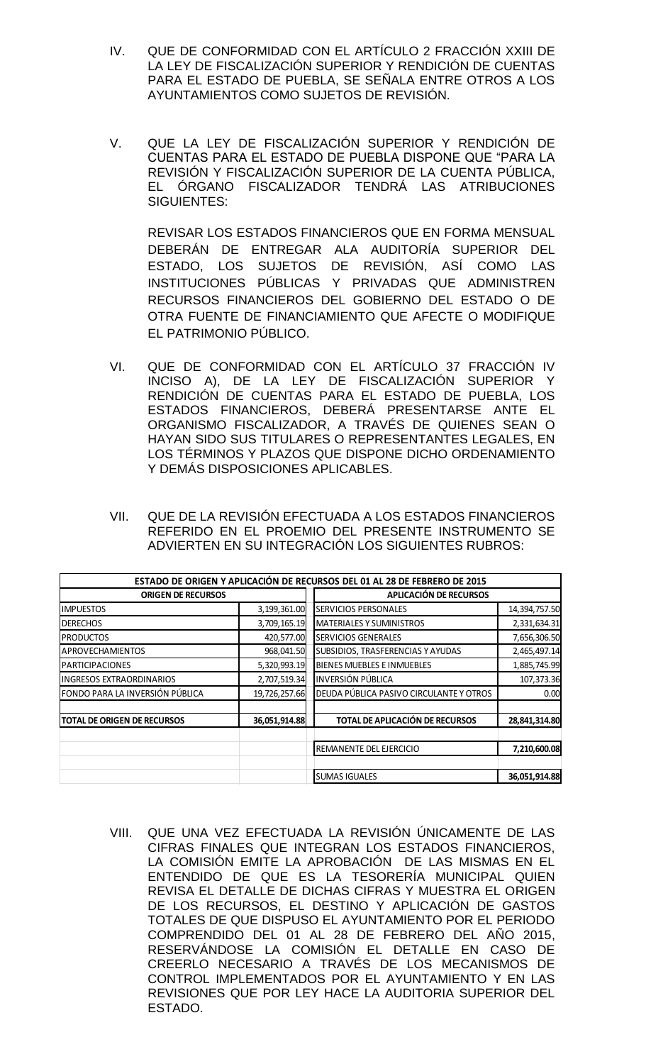- IV. QUE DE CONFORMIDAD CON EL ARTÍCULO 2 FRACCIÓN XXIII DE LA LEY DE FISCALIZACIÓN SUPERIOR Y RENDICIÓN DE CUENTAS PARA EL ESTADO DE PUEBLA, SE SEÑALA ENTRE OTROS A LOS AYUNTAMIENTOS COMO SUJETOS DE REVISIÓN.
- V. QUE LA LEY DE FISCALIZACIÓN SUPERIOR Y RENDICIÓN DE CUENTAS PARA EL ESTADO DE PUEBLA DISPONE QUE "PARA LA REVISIÓN Y FISCALIZACIÓN SUPERIOR DE LA CUENTA PÚBLICA, EL ÓRGANO FISCALIZADOR TENDRÁ LAS ATRIBUCIONES SIGUIENTES:

REVISAR LOS ESTADOS FINANCIEROS QUE EN FORMA MENSUAL DEBERÁN DE ENTREGAR ALA AUDITORÍA SUPERIOR DEL ESTADO, LOS SUJETOS DE REVISIÓN, ASÍ COMO LAS INSTITUCIONES PÚBLICAS Y PRIVADAS QUE ADMINISTREN RECURSOS FINANCIEROS DEL GOBIERNO DEL ESTADO O DE OTRA FUENTE DE FINANCIAMIENTO QUE AFECTE O MODIFIQUE EL PATRIMONIO PÚBLICO.

- VI. QUE DE CONFORMIDAD CON EL ARTÍCULO 37 FRACCIÓN IV INCISO A), DE LA LEY DE FISCALIZACIÓN SUPERIOR Y RENDICIÓN DE CUENTAS PARA EL ESTADO DE PUEBLA, LOS ESTADOS FINANCIEROS, DEBERÁ PRESENTARSE ANTE EL ORGANISMO FISCALIZADOR, A TRAVÉS DE QUIENES SEAN O HAYAN SIDO SUS TITULARES O REPRESENTANTES LEGALES, EN LOS TÉRMINOS Y PLAZOS QUE DISPONE DICHO ORDENAMIENTO Y DEMÁS DISPOSICIONES APLICABLES.
- VII. QUE DE LA REVISIÓN EFECTUADA A LOS ESTADOS FINANCIEROS REFERIDO EN EL PROEMIO DEL PRESENTE INSTRUMENTO SE ADVIERTEN EN SU INTEGRACIÓN LOS SIGUIENTES RUBROS:

|                                    |               |  | ESTADO DE ORIGEN Y APLICACIÓN DE RECURSOS DEL 01 AL 28 DE FEBRERO DE 2015 |               |  |
|------------------------------------|---------------|--|---------------------------------------------------------------------------|---------------|--|
| <b>ORIGEN DE RECURSOS</b>          |               |  | APLICACIÓN DE RECURSOS                                                    |               |  |
| <b>IMPUESTOS</b>                   | 3,199,361.00  |  | <b>SERVICIOS PERSONALES</b>                                               | 14,394,757.50 |  |
| <b>DERECHOS</b>                    | 3,709,165.19  |  | <b>MATERIALES Y SUMINISTROS</b>                                           | 2,331,634.31  |  |
| <b>PRODUCTOS</b>                   | 420,577.00    |  | <b>SERVICIOS GENERALES</b>                                                | 7,656,306.50  |  |
| APROVECHAMIENTOS                   | 968,041.50    |  | SUBSIDIOS, TRASFERENCIAS Y AYUDAS                                         | 2,465,497.14  |  |
| <b>PARTICIPACIONES</b>             | 5,320,993.19  |  | <b>BIENES MUEBLES E INMUEBLES</b>                                         | 1,885,745.99  |  |
| <b>INGRESOS EXTRAORDINARIOS</b>    | 2,707,519.34  |  | <b>INVERSIÓN PÚBLICA</b>                                                  | 107,373.36    |  |
| FONDO PARA LA INVERSIÓN PÚBLICA    | 19,726,257.66 |  | DEUDA PÚBLICA PASIVO CIRCULANTE Y OTROS                                   | 0.00          |  |
| <b>TOTAL DE ORIGEN DE RECURSOS</b> | 36,051,914.88 |  | <b>TOTAL DE APLICACIÓN DE RECURSOS</b>                                    | 28,841,314.80 |  |
|                                    |               |  | REMANENTE DEL EJERCICIO                                                   | 7,210,600.08  |  |
|                                    |               |  | <b>SUMAS IGUALES</b>                                                      | 36,051,914.88 |  |

VIII. QUE UNA VEZ EFECTUADA LA REVISIÓN ÚNICAMENTE DE LAS CIFRAS FINALES QUE INTEGRAN LOS ESTADOS FINANCIEROS, LA COMISIÓN EMITE LA APROBACIÓN DE LAS MISMAS EN EL ENTENDIDO DE QUE ES LA TESORERÍA MUNICIPAL QUIEN REVISA EL DETALLE DE DICHAS CIFRAS Y MUESTRA EL ORIGEN DE LOS RECURSOS, EL DESTINO Y APLICACIÓN DE GASTOS TOTALES DE QUE DISPUSO EL AYUNTAMIENTO POR EL PERIODO COMPRENDIDO DEL 01 AL 28 DE FEBRERO DEL AÑO 2015, RESERVÁNDOSE LA COMISIÓN EL DETALLE EN CASO DE CREERLO NECESARIO A TRAVÉS DE LOS MECANISMOS DE CONTROL IMPLEMENTADOS POR EL AYUNTAMIENTO Y EN LAS REVISIONES QUE POR LEY HACE LA AUDITORIA SUPERIOR DEL ESTADO.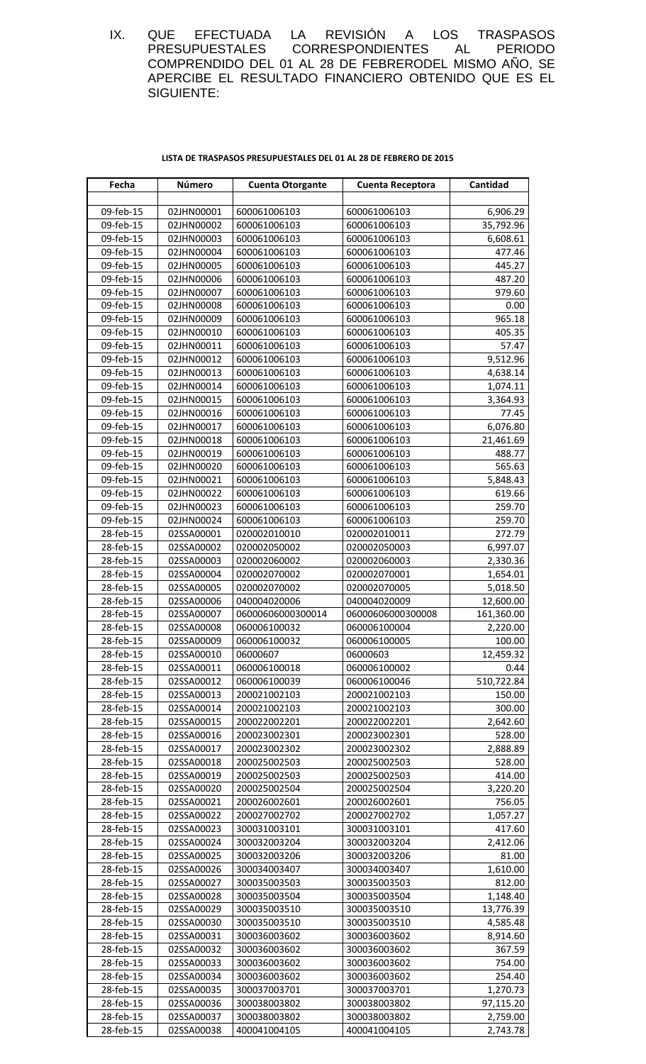IX. QUE EFECTUADA LA REVISIÓN A LOS TRASPASOS PRESUPUESTALES CORRESPONDIENTES AL PERIODO COMPRENDIDO DEL 01 AL 28 DE FEBRERODEL MISMO AÑO, SE APERCIBE EL RESULTADO FINANCIERO OBTENIDO QUE ES EL SIGUIENTE:

| LISTA DE TRASPASOS PRESUPUESTALES DEL 01 AL 28 DE FEBRERO DE 2015 |
|-------------------------------------------------------------------|
|-------------------------------------------------------------------|

| Fecha                  | Número                   | <b>Cuenta Otorgante</b>      | <b>Cuenta Receptora</b>      | Cantidad              |
|------------------------|--------------------------|------------------------------|------------------------------|-----------------------|
|                        |                          |                              |                              |                       |
| 09-feb-15              | 02JHN00001               | 600061006103                 | 600061006103                 | 6,906.29              |
| 09-feb-15              | 02JHN00002               | 600061006103                 | 600061006103                 | 35,792.96             |
| 09-feb-15              | 02JHN00003               | 600061006103                 | 600061006103                 | 6,608.61              |
| 09-feb-15              | 02JHN00004               | 600061006103                 | 600061006103                 | 477.46                |
| 09-feb-15              | 02JHN00005               | 600061006103                 | 600061006103                 | 445.27                |
| 09-feb-15              | 02JHN00006               | 600061006103                 | 600061006103                 | 487.20                |
| 09-feb-15              | 02JHN00007               | 600061006103                 | 600061006103                 | 979.60                |
| 09-feb-15              | 02JHN00008               | 600061006103                 | 600061006103                 | 0.00                  |
| 09-feb-15              | 02JHN00009               | 600061006103                 | 600061006103                 | 965.18                |
| 09-feb-15              | 02JHN00010               | 600061006103                 | 600061006103                 | 405.35                |
| 09-feb-15              | 02JHN00011               | 600061006103                 | 600061006103                 | 57.47                 |
| 09-feb-15              | 02JHN00012               | 600061006103                 | 600061006103                 | 9,512.96              |
| 09-feb-15              | 02JHN00013               | 600061006103                 | 600061006103                 | 4,638.14              |
| 09-feb-15              | 02JHN00014               | 600061006103                 | 600061006103                 | 1,074.11              |
| 09-feb-15              | 02JHN00015               | 600061006103                 | 600061006103                 | 3,364.93              |
| 09-feb-15              | 02JHN00016               | 600061006103                 | 600061006103                 | 77.45                 |
| 09-feb-15              | 02JHN00017               | 600061006103                 | 600061006103                 | 6,076.80              |
| 09-feb-15              | 02JHN00018               | 600061006103                 | 600061006103                 | 21,461.69             |
| 09-feb-15              | 02JHN00019               | 600061006103                 | 600061006103                 | 488.77                |
| 09-feb-15              | 02JHN00020               | 600061006103                 | 600061006103                 | 565.63                |
| 09-feb-15              | 02JHN00021               | 600061006103                 | 600061006103                 | 5,848.43              |
| 09-feb-15              | 02JHN00022               | 600061006103                 | 600061006103                 | 619.66                |
| 09-feb-15              | 02JHN00023               | 600061006103                 | 600061006103                 | 259.70                |
| 09-feb-15              | 02JHN00024               | 600061006103                 | 600061006103                 | 259.70                |
| 28-feb-15              | 02SSA00001               | 020002010010                 | 020002010011                 | 272.79                |
| 28-feb-15              | 02SSA00002               | 020002050002                 | 020002050003                 | 6,997.07              |
| 28-feb-15              | 02SSA00003               | 020002060002                 | 020002060003                 | 2,330.36              |
| 28-feb-15              | 02SSA00004               | 020002070002                 | 020002070001                 | 1,654.01              |
| 28-feb-15              | 02SSA00005               | 020002070002                 | 020002070005                 | 5,018.50              |
| 28-feb-15              | 02SSA00006               | 040004020006                 | 040004020009                 | 12,600.00             |
| 28-feb-15              | 02SSA00007               | 06000606000300014            | 06000606000300008            | 161,360.00            |
| 28-feb-15              | 02SSA00008               | 060006100032                 | 060006100004                 | 2,220.00              |
| 28-feb-15              | 02SSA00009               | 060006100032                 | 060006100005                 | 100.00                |
| 28-feb-15              | 02SSA00010               | 06000607                     | 06000603                     | 12,459.32             |
| 28-feb-15              | 02SSA00011               | 060006100018                 | 060006100002                 | 0.44                  |
| 28-feb-15              | 02SSA00012               | 060006100039                 | 060006100046                 | 510,722.84            |
| 28-feb-15              | 02SSA00013               | 200021002103                 | 200021002103                 | 150.00                |
| 28-feb-15              | 02SSA00014               | 200021002103                 | 200021002103                 | 300.00                |
| 28-feb-15              | 02SSA00015               | 200022002201                 | 200022002201                 | 2,642.60              |
| 28-feb-15              | 02SSA00016               | 200023002301                 | 200023002301                 | 528.00                |
| 28-feb-15              | 02SSA00017               | 200023002302                 | 200023002302                 | 2,888.89              |
| 28-feb-15              | 02SSA00018               | 200025002503                 | 200025002503                 | 528.00                |
| 28-feb-15              | 02SSA00019               | 200025002503                 | 200025002503                 | 414.00                |
| 28-feb-15              | 02SSA00020               | 200025002504                 | 200025002504                 | 3,220.20              |
| 28-feb-15              | 02SSA00021               | 200026002601                 | 200026002601                 | 756.05                |
| 28-feb-15              | 02SSA00022               | 200027002702                 | 200027002702                 | 1,057.27              |
| 28-feb-15              | 02SSA00023               | 300031003101                 | 300031003101                 | 417.60                |
| 28-feb-15              | 02SSA00024<br>02SSA00025 | 300032003204                 | 300032003204                 | 2,412.06              |
| 28-feb-15              |                          | 300032003206                 | 300032003206                 | 81.00                 |
| 28-feb-15              | 02SSA00026               | 300034003407                 | 300034003407                 | 1,610.00              |
| 28-feb-15              | 02SSA00027               | 300035003503                 | 300035003503                 | 812.00                |
| 28-feb-15              | 02SSA00028               | 300035003504                 | 300035003504                 | 1,148.40              |
| 28-feb-15              | 02SSA00029               | 300035003510                 | 300035003510                 | 13,776.39             |
| 28-feb-15              | 02SSA00030               | 300035003510                 | 300035003510                 | 4,585.48              |
| 28-feb-15              | 02SSA00031               | 300036003602                 | 300036003602                 | 8,914.60              |
| 28-feb-15              | 02SSA00032               | 300036003602                 | 300036003602                 | 367.59                |
| 28-feb-15              | 02SSA00033               | 300036003602                 | 300036003602                 | 754.00                |
| 28-feb-15              | 02SSA00034               | 300036003602                 | 300036003602                 | 254.40                |
| 28-feb-15<br>28-feb-15 | 02SSA00035               | 300037003701                 | 300037003701                 | 1,270.73<br>97,115.20 |
|                        | 02SSA00036               | 300038003802<br>300038003802 | 300038003802<br>300038003802 | 2,759.00              |
| 28-feb-15<br>28-feb-15 | 02SSA00037<br>02SSA00038 | 400041004105                 | 400041004105                 | 2,743.78              |
|                        |                          |                              |                              |                       |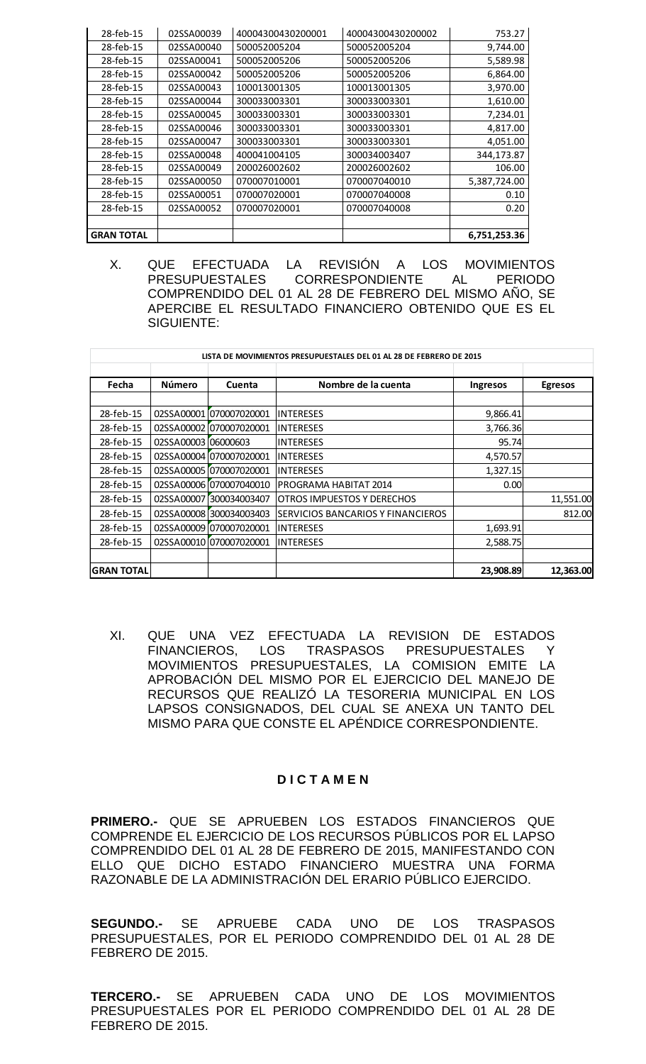| 28-feb-15         | 02SSA00039 | 40004300430200001 | 40004300430200002 | 753.27       |
|-------------------|------------|-------------------|-------------------|--------------|
| 28-feb-15         | 02SSA00040 | 500052005204      | 500052005204      | 9,744.00     |
| 28-feb-15         | 02SSA00041 | 500052005206      | 500052005206      | 5,589.98     |
| 28-feb-15         | 02SSA00042 | 500052005206      | 500052005206      | 6,864.00     |
| 28-feb-15         | 02SSA00043 | 100013001305      | 100013001305      | 3,970.00     |
| 28-feb-15         | 02SSA00044 | 300033003301      | 300033003301      | 1,610.00     |
| 28-feb-15         | 02SSA00045 | 300033003301      | 300033003301      | 7,234.01     |
| 28-feb-15         | 02SSA00046 | 300033003301      | 300033003301      | 4,817.00     |
| 28-feb-15         | 02SSA00047 | 300033003301      | 300033003301      | 4,051.00     |
| 28-feb-15         | 02SSA00048 | 400041004105      | 300034003407      | 344,173.87   |
| 28-feb-15         | 02SSA00049 | 200026002602      | 200026002602      | 106.00       |
| 28-feb-15         | 02SSA00050 | 070007010001      | 070007040010      | 5,387,724.00 |
| 28-feb-15         | 02SSA00051 | 070007020001      | 070007040008      | 0.10         |
| 28-feb-15         | 02SSA00052 | 070007020001      | 070007040008      | 0.20         |
|                   |            |                   |                   |              |
| <b>GRAN TOTAL</b> |            |                   |                   | 6,751,253.36 |

X. QUE EFECTUADA LA REVISIÓN A LOS MOVIMIENTOS PRESUPUESTALES CORRESPONDIENTE AL PERIODO COMPRENDIDO DEL 01 AL 28 DE FEBRERO DEL MISMO AÑO, SE APERCIBE EL RESULTADO FINANCIERO OBTENIDO QUE ES EL SIGUIENTE:

|                   |                     |                         | LISTA DE MOVIMIENTOS PRESUPUESTALES DEL 01 AL 28 DE FEBRERO DE 2015 |           |                |
|-------------------|---------------------|-------------------------|---------------------------------------------------------------------|-----------|----------------|
| Fecha             | Número              | Cuenta                  | Nombre de la cuenta                                                 | Ingresos  | <b>Egresos</b> |
| 28-feb-15         |                     | 02SSA00001 070007020001 | <b>INTERESES</b>                                                    | 9,866.41  |                |
| 28-feb-15         |                     | 02SSA00002 070007020001 | INTERESES                                                           | 3,766.36  |                |
| 28-feb-15         | 02SSA00003 06000603 |                         | <b>INTERESES</b>                                                    | 95.74     |                |
| 28-feb-15         |                     | 02SSA000041070007020001 | INTERESES                                                           | 4,570.57  |                |
| 28-feb-15         |                     | 02SSA00005 070007020001 | <b>INTERESES</b>                                                    | 1,327.15  |                |
| 28-feb-15         |                     | 02SSA000061070007040010 | PROGRAMA HABITAT 2014                                               | 0.001     |                |
| 28-feb-15         | 02SSA00007          | 300034003407            | <b>OTROS IMPUESTOS Y DERECHOS</b>                                   |           | 11,551.00      |
| 28-feb-15         |                     | 02SSA000081300034003403 | SERVICIOS BANCARIOS Y FINANCIEROS                                   |           | 812.00         |
| 28-feb-15         |                     | 02SSA00009 070007020001 | INTERESES                                                           | 1,693.91  |                |
| 28-feb-15         |                     | 02SSA000101070007020001 | IINTERESES                                                          | 2,588.75  |                |
|                   |                     |                         |                                                                     |           |                |
| <b>GRAN TOTAL</b> |                     |                         |                                                                     | 23,908.89 | 12,363.00      |

XI. QUE UNA VEZ EFECTUADA LA REVISION DE ESTADOS<br>FINANCIEROS, LOS TRASPASOS PRESUPUESTALES Y LOS TRASPASOS PRESUPUESTALES Y MOVIMIENTOS PRESUPUESTALES, LA COMISION EMITE LA APROBACIÓN DEL MISMO POR EL EJERCICIO DEL MANEJO DE RECURSOS QUE REALIZÓ LA TESORERIA MUNICIPAL EN LOS LAPSOS CONSIGNADOS, DEL CUAL SE ANEXA UN TANTO DEL MISMO PARA QUE CONSTE EL APÉNDICE CORRESPONDIENTE.

## **D I C T A M E N**

**PRIMERO.-** QUE SE APRUEBEN LOS ESTADOS FINANCIEROS QUE COMPRENDE EL EJERCICIO DE LOS RECURSOS PÚBLICOS POR EL LAPSO COMPRENDIDO DEL 01 AL 28 DE FEBRERO DE 2015, MANIFESTANDO CON ELLO QUE DICHO ESTADO FINANCIERO MUESTRA UNA FORMA RAZONABLE DE LA ADMINISTRACIÓN DEL ERARIO PÚBLICO EJERCIDO.

**SEGUNDO.-** SE APRUEBE CADA UNO DE LOS TRASPASOS PRESUPUESTALES, POR EL PERIODO COMPRENDIDO DEL 01 AL 28 DE FEBRERO DE 2015.

**TERCERO.-** SE APRUEBEN CADA UNO DE LOS MOVIMIENTOS PRESUPUESTALES POR EL PERIODO COMPRENDIDO DEL 01 AL 28 DE FEBRERO DE 2015.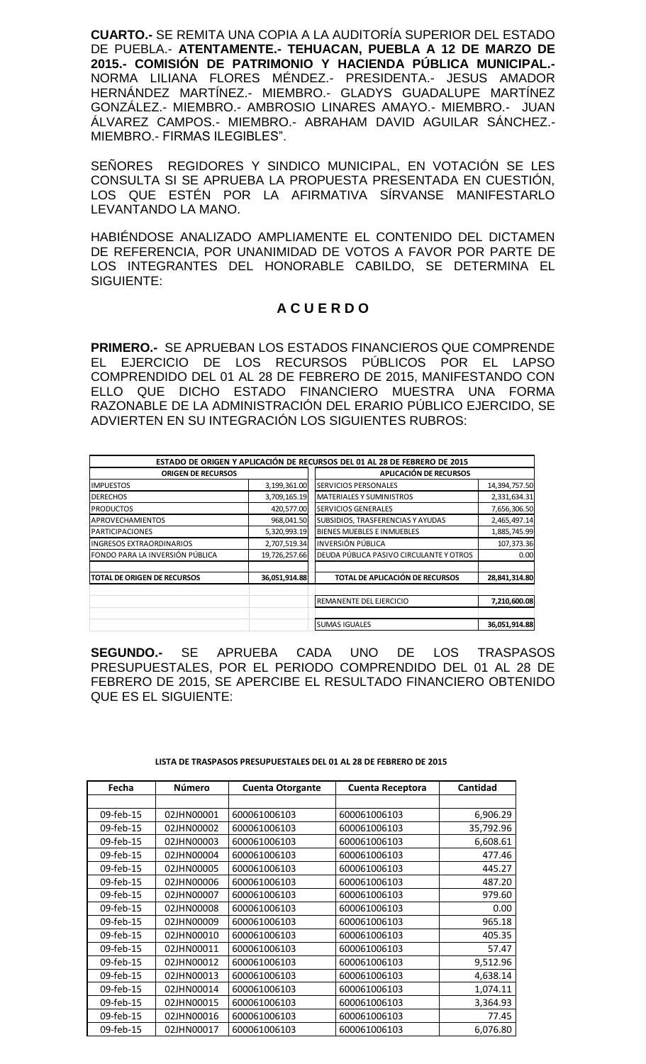**CUARTO.-** SE REMITA UNA COPIA A LA AUDITORÍA SUPERIOR DEL ESTADO DE PUEBLA.- **ATENTAMENTE.- TEHUACAN, PUEBLA A 12 DE MARZO DE 2015.- COMISIÓN DE PATRIMONIO Y HACIENDA PÚBLICA MUNICIPAL.-** NORMA LILIANA FLORES MÉNDEZ.- PRESIDENTA.- JESUS AMADOR HERNÁNDEZ MARTÍNEZ.- MIEMBRO.- GLADYS GUADALUPE MARTÍNEZ GONZÁLEZ.- MIEMBRO.- AMBROSIO LINARES AMAYO.- MIEMBRO.- JUAN ÁLVAREZ CAMPOS.- MIEMBRO.- ABRAHAM DAVID AGUILAR SÁNCHEZ.- MIEMBRO.- FIRMAS ILEGIBLES".

SEÑORES REGIDORES Y SINDICO MUNICIPAL, EN VOTACIÓN SE LES CONSULTA SI SE APRUEBA LA PROPUESTA PRESENTADA EN CUESTIÓN, LOS QUE ESTÉN POR LA AFIRMATIVA SÍRVANSE MANIFESTARLO LEVANTANDO LA MANO.

HABIÉNDOSE ANALIZADO AMPLIAMENTE EL CONTENIDO DEL DICTAMEN DE REFERENCIA, POR UNANIMIDAD DE VOTOS A FAVOR POR PARTE DE LOS INTEGRANTES DEL HONORABLE CABILDO, SE DETERMINA EL SIGUIENTE:

# **A C U E R D O**

**PRIMERO.-** SE APRUEBAN LOS ESTADOS FINANCIEROS QUE COMPRENDE EL EJERCICIO DE LOS RECURSOS PÚBLICOS POR EL LAPSO COMPRENDIDO DEL 01 AL 28 DE FEBRERO DE 2015, MANIFESTANDO CON ELLO QUE DICHO ESTADO FINANCIERO MUESTRA UNA FORMA RAZONABLE DE LA ADMINISTRACIÓN DEL ERARIO PÚBLICO EJERCIDO, SE ADVIERTEN EN SU INTEGRACIÓN LOS SIGUIENTES RUBROS:

|                                     |               | ESTADO DE ORIGEN Y APLICACIÓN DE RECURSOS DEL 01 AL 28 DE FEBRERO DE 2015 |               |
|-------------------------------------|---------------|---------------------------------------------------------------------------|---------------|
| <b>ORIGEN DE RECURSOS</b>           |               | APLICACIÓN DE RECURSOS                                                    |               |
| <b>IMPUESTOS</b>                    | 3,199,361.00  | <b>SERVICIOS PERSONALES</b>                                               | 14,394,757.50 |
| <b>DERECHOS</b>                     | 3,709,165.19  | <b>MATERIALES Y SUMINISTROS</b>                                           | 2,331,634.31  |
| <b>PRODUCTOS</b>                    | 420,577.00    | SERVICIOS GENERALES                                                       | 7,656,306.50  |
| <b>APROVECHAMIENTOS</b>             | 968,041.50    | SUBSIDIOS, TRASFERENCIAS Y AYUDAS                                         | 2,465,497.14  |
| <b>PARTICIPACIONES</b>              | 5,320,993.19  | BIENES MUEBLES E INMUEBLES                                                | 1,885,745.99  |
| <b>INGRESOS EXTRAORDINARIOS</b>     | 2,707,519.34  | <b>INVERSIÓN PÚBLICA</b>                                                  | 107,373.36    |
| FONDO PARA LA INVERSIÓN PÚBLICA     | 19,726,257.66 | DEUDA PÚBLICA PASIVO CIRCULANTE Y OTROS                                   | 0.00          |
| <b>ITOTAL DE ORIGEN DE RECURSOS</b> | 36,051,914.88 | TOTAL DE APLICACIÓN DE RECURSOS                                           | 28,841,314.80 |
|                                     |               | REMANENTE DEL EJERCICIO                                                   | 7,210,600.08  |
|                                     |               | <b>SUMAS IGUALES</b>                                                      | 36,051,914.88 |

**SEGUNDO.-** SE APRUEBA CADA UNO DE LOS TRASPASOS PRESUPUESTALES, POR EL PERIODO COMPRENDIDO DEL 01 AL 28 DE FEBRERO DE 2015, SE APERCIBE EL RESULTADO FINANCIERO OBTENIDO QUE ES EL SIGUIENTE:

| Fecha     | Número     | <b>Cuenta Otorgante</b> | <b>Cuenta Receptora</b> | Cantidad  |
|-----------|------------|-------------------------|-------------------------|-----------|
|           |            |                         |                         |           |
| 09-feb-15 | 02JHN00001 | 600061006103            | 600061006103            | 6,906.29  |
| 09-feb-15 | 02JHN00002 | 600061006103            | 600061006103            | 35,792.96 |
| 09-feb-15 | 02JHN00003 | 600061006103            | 600061006103            | 6,608.61  |
| 09-feb-15 | 02JHN00004 | 600061006103            | 600061006103            | 477.46    |
| 09-feb-15 | 02JHN00005 | 600061006103            | 600061006103            | 445.27    |
| 09-feb-15 | 02JHN00006 | 600061006103            | 600061006103            | 487.20    |
| 09-feb-15 | 02JHN00007 | 600061006103            | 600061006103            | 979.60    |
| 09-feb-15 | 02JHN00008 | 600061006103            | 600061006103            | 0.00      |
| 09-feb-15 | 02JHN00009 | 600061006103            | 600061006103            | 965.18    |
| 09-feb-15 | 02JHN00010 | 600061006103            | 600061006103            | 405.35    |
| 09-feb-15 | 02JHN00011 | 600061006103            | 600061006103            | 57.47     |
| 09-feb-15 | 02JHN00012 | 600061006103            | 600061006103            | 9,512.96  |
| 09-feb-15 | 02JHN00013 | 600061006103            | 600061006103            | 4,638.14  |
| 09-feb-15 | 02JHN00014 | 600061006103            | 600061006103            | 1,074.11  |
| 09-feb-15 | 02JHN00015 | 600061006103            | 600061006103            | 3,364.93  |
| 09-feb-15 | 02JHN00016 | 600061006103            | 600061006103            | 77.45     |
| 09-feb-15 | 02JHN00017 | 600061006103            | 600061006103            | 6,076.80  |

#### **LISTA DE TRASPASOS PRESUPUESTALES DEL 01 AL 28 DE FEBRERO DE 2015**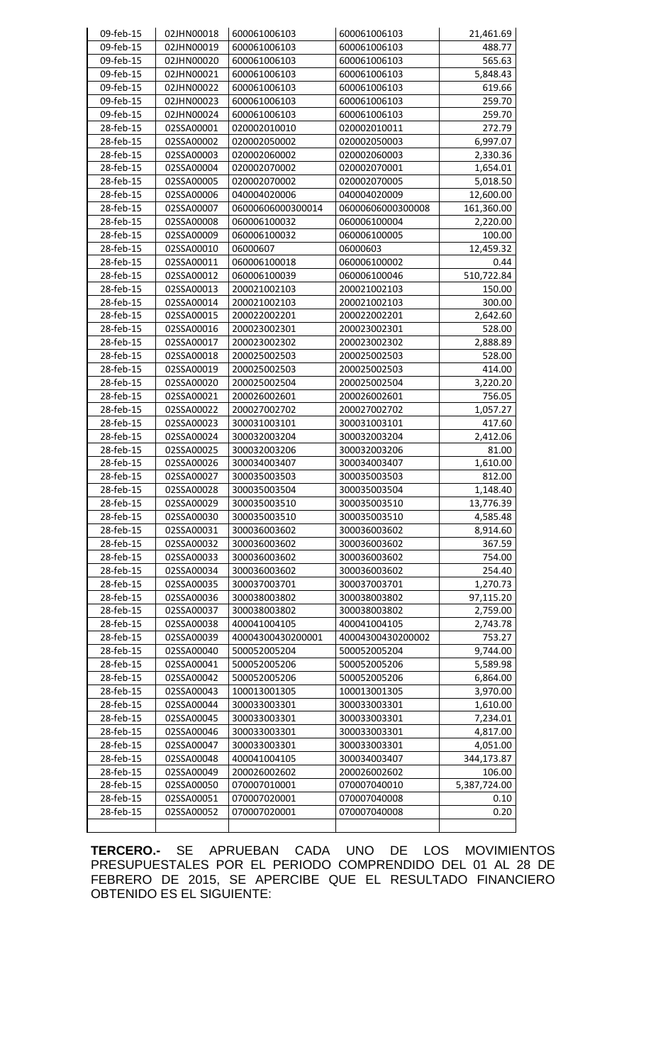| 09-feb-15 | 02JHN00018 | 600061006103      | 600061006103      | 21,461.69    |
|-----------|------------|-------------------|-------------------|--------------|
| 09-feb-15 | 02JHN00019 | 600061006103      | 600061006103      | 488.77       |
| 09-feb-15 | 02JHN00020 | 600061006103      | 600061006103      | 565.63       |
| 09-feb-15 | 02JHN00021 | 600061006103      | 600061006103      | 5,848.43     |
| 09-feb-15 | 02JHN00022 | 600061006103      | 600061006103      | 619.66       |
| 09-feb-15 | 02JHN00023 | 600061006103      | 600061006103      | 259.70       |
| 09-feb-15 | 02JHN00024 | 600061006103      | 600061006103      | 259.70       |
| 28-feb-15 | 02SSA00001 | 020002010010      | 020002010011      | 272.79       |
| 28-feb-15 | 02SSA00002 | 020002050002      | 020002050003      | 6,997.07     |
| 28-feb-15 | 02SSA00003 | 020002060002      | 020002060003      | 2,330.36     |
| 28-feb-15 | 02SSA00004 | 020002070002      | 020002070001      | 1,654.01     |
| 28-feb-15 | 02SSA00005 | 020002070002      | 020002070005      | 5,018.50     |
| 28-feb-15 | 02SSA00006 | 040004020006      | 040004020009      | 12,600.00    |
| 28-feb-15 | 02SSA00007 | 06000606000300014 | 06000606000300008 | 161,360.00   |
| 28-feb-15 | 02SSA00008 | 060006100032      | 060006100004      | 2,220.00     |
| 28-feb-15 | 02SSA00009 | 060006100032      | 060006100005      | 100.00       |
| 28-feb-15 | 02SSA00010 | 06000607          | 06000603          | 12,459.32    |
| 28-feb-15 | 02SSA00011 | 060006100018      | 060006100002      | 0.44         |
| 28-feb-15 | 02SSA00012 | 060006100039      | 060006100046      | 510,722.84   |
| 28-feb-15 | 02SSA00013 | 200021002103      | 200021002103      | 150.00       |
| 28-feb-15 | 02SSA00014 | 200021002103      | 200021002103      | 300.00       |
| 28-feb-15 | 02SSA00015 | 200022002201      | 200022002201      | 2,642.60     |
| 28-feb-15 | 02SSA00016 | 200023002301      | 200023002301      | 528.00       |
| 28-feb-15 | 02SSA00017 | 200023002302      | 200023002302      | 2,888.89     |
| 28-feb-15 | 02SSA00018 | 200025002503      | 200025002503      | 528.00       |
| 28-feb-15 | 02SSA00019 | 200025002503      | 200025002503      | 414.00       |
| 28-feb-15 | 02SSA00020 | 200025002504      | 200025002504      | 3,220.20     |
| 28-feb-15 | 02SSA00021 | 200026002601      | 200026002601      | 756.05       |
| 28-feb-15 | 02SSA00022 | 200027002702      | 200027002702      | 1,057.27     |
| 28-feb-15 | 02SSA00023 | 300031003101      | 300031003101      | 417.60       |
| 28-feb-15 | 02SSA00024 | 300032003204      | 300032003204      | 2,412.06     |
| 28-feb-15 | 02SSA00025 | 300032003206      | 300032003206      | 81.00        |
| 28-feb-15 | 02SSA00026 | 300034003407      | 300034003407      | 1,610.00     |
| 28-feb-15 | 02SSA00027 | 300035003503      | 300035003503      | 812.00       |
| 28-feb-15 | 02SSA00028 | 300035003504      | 300035003504      | 1,148.40     |
| 28-feb-15 | 02SSA00029 | 300035003510      | 300035003510      | 13,776.39    |
| 28-feb-15 | 02SSA00030 | 300035003510      | 300035003510      | 4,585.48     |
| 28-feb-15 | 02SSA00031 | 300036003602      | 300036003602      | 8,914.60     |
| 28-feb-15 | 02SSA00032 | 300036003602      | 300036003602      | 367.59       |
| 28-feb-15 | 02SSA00033 | 300036003602      | 300036003602      | 754.00       |
| 28-feb-15 | 02SSA00034 | 300036003602      | 300036003602      | 254.40       |
| 28-feb-15 | 02SSA00035 | 300037003701      | 300037003701      | 1,270.73     |
| 28-feb-15 | 02SSA00036 | 300038003802      | 300038003802      | 97,115.20    |
| 28-feb-15 | 02SSA00037 | 300038003802      | 300038003802      | 2,759.00     |
| 28-feb-15 | 02SSA00038 | 400041004105      | 400041004105      | 2,743.78     |
| 28-feb-15 | 02SSA00039 | 40004300430200001 | 40004300430200002 | 753.27       |
| 28-feb-15 | 02SSA00040 | 500052005204      | 500052005204      | 9,744.00     |
| 28-feb-15 | 02SSA00041 | 500052005206      | 500052005206      | 5,589.98     |
| 28-feb-15 | 02SSA00042 | 500052005206      | 500052005206      | 6,864.00     |
| 28-feb-15 | 02SSA00043 | 100013001305      | 100013001305      | 3,970.00     |
| 28-feb-15 | 02SSA00044 | 300033003301      | 300033003301      | 1,610.00     |
| 28-feb-15 | 02SSA00045 | 300033003301      | 300033003301      | 7,234.01     |
| 28-feb-15 | 02SSA00046 | 300033003301      | 300033003301      | 4,817.00     |
| 28-feb-15 | 02SSA00047 | 300033003301      | 300033003301      | 4,051.00     |
| 28-feb-15 | 02SSA00048 | 400041004105      | 300034003407      | 344,173.87   |
| 28-feb-15 | 02SSA00049 | 200026002602      | 200026002602      | 106.00       |
| 28-feb-15 | 02SSA00050 | 070007010001      | 070007040010      | 5,387,724.00 |
| 28-feb-15 | 02SSA00051 | 070007020001      | 070007040008      | 0.10         |
| 28-feb-15 | 02SSA00052 | 070007020001      | 070007040008      | 0.20         |
|           |            |                   |                   |              |

**TERCERO.-** SE APRUEBAN CADA UNO DE LOS MOVIMIENTOS PRESUPUESTALES POR EL PERIODO COMPRENDIDO DEL 01 AL 28 DE FEBRERO DE 2015, SE APERCIBE QUE EL RESULTADO FINANCIERO OBTENIDO ES EL SIGUIENTE: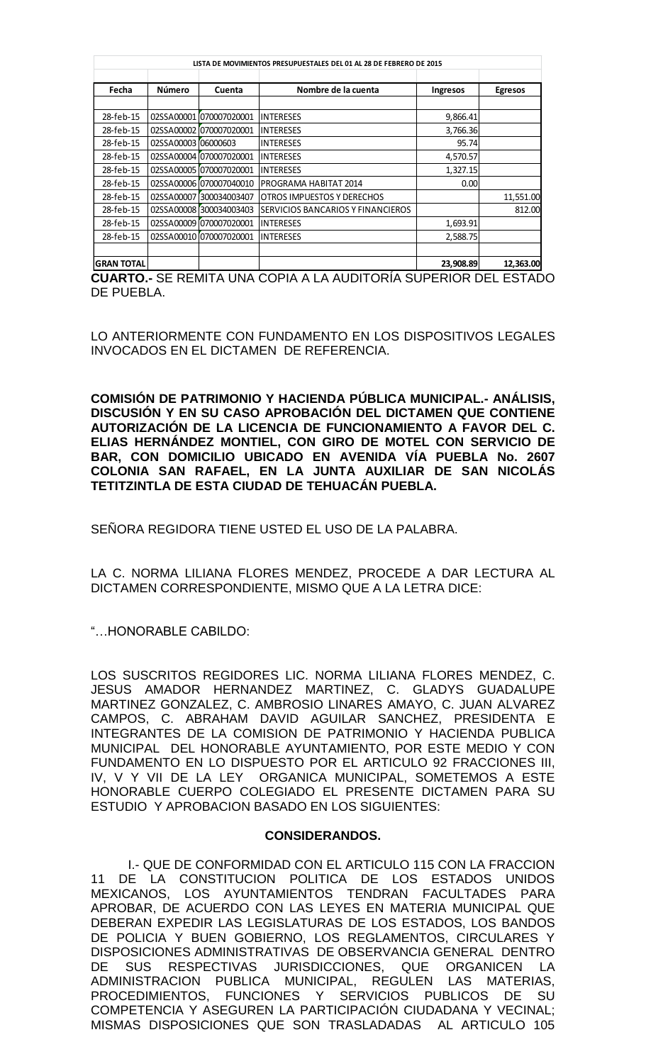|                   | LISTA DE MOVIMIENTOS PRESUPUESTALES DEL 01 AL 28 DE FEBRERO DE 2015 |                          |                                   |           |                |
|-------------------|---------------------------------------------------------------------|--------------------------|-----------------------------------|-----------|----------------|
|                   |                                                                     |                          |                                   |           |                |
| Fecha             | Número                                                              | Cuenta                   | Nombre de la cuenta               | Ingresos  | <b>Egresos</b> |
|                   |                                                                     |                          |                                   |           |                |
| 28-feb-15         |                                                                     | 02SSA00001 070007020001  | <b>INTERESES</b>                  | 9,866.41  |                |
| 28-feb-15         |                                                                     | 02SSA00002 070007020001  | <b>INTERESES</b>                  | 3,766.36  |                |
| 28-feb-15         | 02SSA00003 06000603                                                 |                          | <b>INTERESES</b>                  | 95.74     |                |
| 28-feb-15         |                                                                     | 02SSA00004 070007020001  | <b>INTERESES</b>                  | 4,570.57  |                |
| 28-feb-15         |                                                                     | 02SSA000051070007020001  | <b>INTERESES</b>                  | 1,327.15  |                |
| 28-feb-15         |                                                                     | 02SSA00006 070007040010  | PROGRAMA HABITAT 2014             | 0.00      |                |
| 28-feb-15         | 02SSA00007                                                          | 300034003407             | <b>OTROS IMPUESTOS Y DERECHOS</b> |           | 11,551.00      |
| 28-feb-15         |                                                                     | 02SSA00008 300034003403  | SERVICIOS BANCARIOS Y FINANCIEROS |           | 812.00         |
| 28-feb-15         |                                                                     | 02SSA00009 [070007020001 | <b>INTERESES</b>                  | 1,693.91  |                |
| 28-feb-15         |                                                                     | 02SSA000101070007020001  | <b>INTERESES</b>                  | 2,588.75  |                |
|                   |                                                                     |                          |                                   |           |                |
| <b>GRAN TOTAL</b> |                                                                     |                          |                                   | 23,908.89 | 12,363.00      |

**CUARTO.-** SE REMITA UNA COPIA A LA AUDITORÍA SUPERIOR DEL ESTADO DE PUEBLA.

LO ANTERIORMENTE CON FUNDAMENTO EN LOS DISPOSITIVOS LEGALES INVOCADOS EN EL DICTAMEN DE REFERENCIA.

**COMISIÓN DE PATRIMONIO Y HACIENDA PÚBLICA MUNICIPAL.- ANÁLISIS, DISCUSIÓN Y EN SU CASO APROBACIÓN DEL DICTAMEN QUE CONTIENE AUTORIZACIÓN DE LA LICENCIA DE FUNCIONAMIENTO A FAVOR DEL C. ELIAS HERNÁNDEZ MONTIEL, CON GIRO DE MOTEL CON SERVICIO DE BAR, CON DOMICILIO UBICADO EN AVENIDA VÍA PUEBLA No. 2607 COLONIA SAN RAFAEL, EN LA JUNTA AUXILIAR DE SAN NICOLÁS TETITZINTLA DE ESTA CIUDAD DE TEHUACÁN PUEBLA.**

SEÑORA REGIDORA TIENE USTED EL USO DE LA PALABRA.

LA C. NORMA LILIANA FLORES MENDEZ, PROCEDE A DAR LECTURA AL DICTAMEN CORRESPONDIENTE, MISMO QUE A LA LETRA DICE:

"…HONORABLE CABILDO:

LOS SUSCRITOS REGIDORES LIC. NORMA LILIANA FLORES MENDEZ, C. JESUS AMADOR HERNANDEZ MARTINEZ, C. GLADYS GUADALUPE MARTINEZ GONZALEZ, C. AMBROSIO LINARES AMAYO, C. JUAN ALVAREZ CAMPOS, C. ABRAHAM DAVID AGUILAR SANCHEZ, PRESIDENTA E INTEGRANTES DE LA COMISION DE PATRIMONIO Y HACIENDA PUBLICA MUNICIPAL DEL HONORABLE AYUNTAMIENTO, POR ESTE MEDIO Y CON FUNDAMENTO EN LO DISPUESTO POR EL ARTICULO 92 FRACCIONES III, IV, V Y VII DE LA LEY ORGANICA MUNICIPAL, SOMETEMOS A ESTE HONORABLE CUERPO COLEGIADO EL PRESENTE DICTAMEN PARA SU ESTUDIO Y APROBACION BASADO EN LOS SIGUIENTES:

## **CONSIDERANDOS.**

I.- QUE DE CONFORMIDAD CON EL ARTICULO 115 CON LA FRACCION 11 DE LA CONSTITUCION POLITICA DE LOS ESTADOS UNIDOS MEXICANOS, LOS AYUNTAMIENTOS TENDRAN FACULTADES PARA APROBAR, DE ACUERDO CON LAS LEYES EN MATERIA MUNICIPAL QUE DEBERAN EXPEDIR LAS LEGISLATURAS DE LOS ESTADOS, LOS BANDOS DE POLICIA Y BUEN GOBIERNO, LOS REGLAMENTOS, CIRCULARES Y DISPOSICIONES ADMINISTRATIVAS DE OBSERVANCIA GENERAL DENTRO DE SUS RESPECTIVAS JURISDICCIONES, QUE ORGANICEN LA ADMINISTRACION PUBLICA MUNICIPAL, REGULEN LAS MATERIAS, PROCEDIMIENTOS, FUNCIONES Y SERVICIOS PUBLICOS DE SU COMPETENCIA Y ASEGUREN LA PARTICIPACIÓN CIUDADANA Y VECINAL; MISMAS DISPOSICIONES QUE SON TRASLADADAS AL ARTICULO 105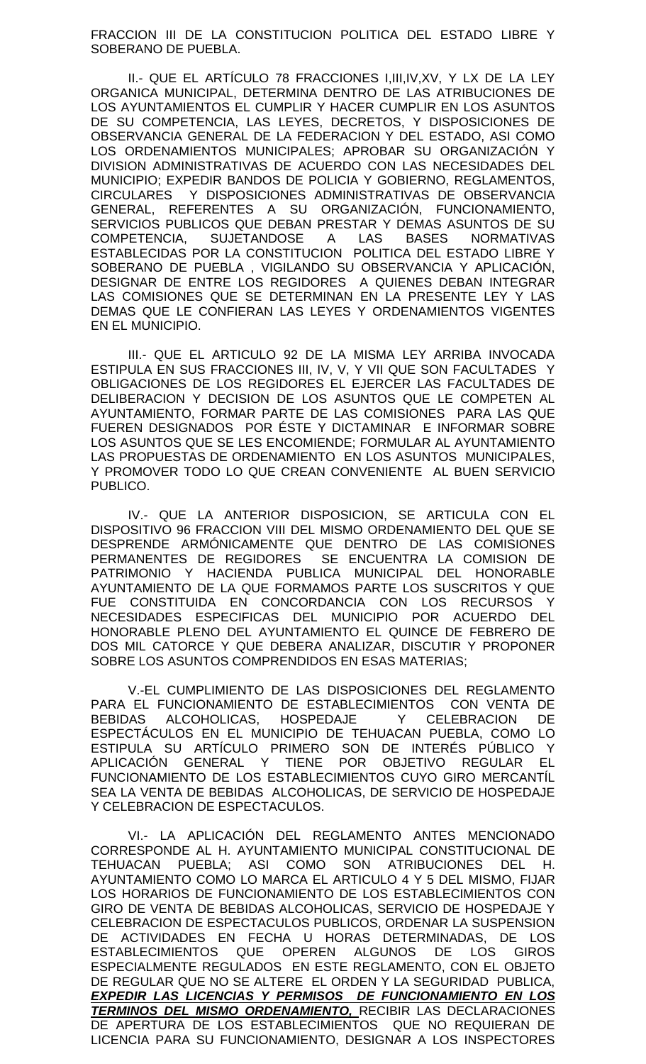FRACCION III DE LA CONSTITUCION POLITICA DEL ESTADO LIBRE Y SOBERANO DE PUEBLA.

II.- QUE EL ARTÍCULO 78 FRACCIONES I,III,IV,XV, Y LX DE LA LEY ORGANICA MUNICIPAL, DETERMINA DENTRO DE LAS ATRIBUCIONES DE LOS AYUNTAMIENTOS EL CUMPLIR Y HACER CUMPLIR EN LOS ASUNTOS DE SU COMPETENCIA, LAS LEYES, DECRETOS, Y DISPOSICIONES DE OBSERVANCIA GENERAL DE LA FEDERACION Y DEL ESTADO, ASI COMO LOS ORDENAMIENTOS MUNICIPALES; APROBAR SU ORGANIZACIÓN Y DIVISION ADMINISTRATIVAS DE ACUERDO CON LAS NECESIDADES DEL MUNICIPIO; EXPEDIR BANDOS DE POLICIA Y GOBIERNO, REGLAMENTOS, CIRCULARES Y DISPOSICIONES ADMINISTRATIVAS DE OBSERVANCIA GENERAL, REFERENTES A SU ORGANIZACIÓN, FUNCIONAMIENTO, SERVICIOS PUBLICOS QUE DEBAN PRESTAR Y DEMAS ASUNTOS DE SU COMPETENCIA, SUJETANDOSE A LAS BASES NORMATIVAS ESTABLECIDAS POR LA CONSTITUCION POLITICA DEL ESTADO LIBRE Y SOBERANO DE PUEBLA , VIGILANDO SU OBSERVANCIA Y APLICACIÓN, DESIGNAR DE ENTRE LOS REGIDORES A QUIENES DEBAN INTEGRAR LAS COMISIONES QUE SE DETERMINAN EN LA PRESENTE LEY Y LAS DEMAS QUE LE CONFIERAN LAS LEYES Y ORDENAMIENTOS VIGENTES EN EL MUNICIPIO.

III.- QUE EL ARTICULO 92 DE LA MISMA LEY ARRIBA INVOCADA ESTIPULA EN SUS FRACCIONES III, IV, V, Y VII QUE SON FACULTADES Y OBLIGACIONES DE LOS REGIDORES EL EJERCER LAS FACULTADES DE DELIBERACION Y DECISION DE LOS ASUNTOS QUE LE COMPETEN AL AYUNTAMIENTO, FORMAR PARTE DE LAS COMISIONES PARA LAS QUE FUEREN DESIGNADOS POR ÉSTE Y DICTAMINAR E INFORMAR SOBRE LOS ASUNTOS QUE SE LES ENCOMIENDE; FORMULAR AL AYUNTAMIENTO LAS PROPUESTAS DE ORDENAMIENTO EN LOS ASUNTOS MUNICIPALES, Y PROMOVER TODO LO QUE CREAN CONVENIENTE AL BUEN SERVICIO PUBLICO.

IV.- QUE LA ANTERIOR DISPOSICION, SE ARTICULA CON EL DISPOSITIVO 96 FRACCION VIII DEL MISMO ORDENAMIENTO DEL QUE SE DESPRENDE ARMÓNICAMENTE QUE DENTRO DE LAS COMISIONES PERMANENTES DE REGIDORES SE ENCUENTRA LA COMISION DE PATRIMONIO Y HACIENDA PUBLICA MUNICIPAL DEL HONORABLE AYUNTAMIENTO DE LA QUE FORMAMOS PARTE LOS SUSCRITOS Y QUE FUE CONSTITUIDA EN CONCORDANCIA CON LOS RECURSOS Y NECESIDADES ESPECIFICAS DEL MUNICIPIO POR ACUERDO DEL HONORABLE PLENO DEL AYUNTAMIENTO EL QUINCE DE FEBRERO DE DOS MIL CATORCE Y QUE DEBERA ANALIZAR, DISCUTIR Y PROPONER SOBRE LOS ASUNTOS COMPRENDIDOS EN ESAS MATERIAS;

V.-EL CUMPLIMIENTO DE LAS DISPOSICIONES DEL REGLAMENTO PARA EL FUNCIONAMIENTO DE ESTABLECIMIENTOS CON VENTA DE BEBIDAS ALCOHOLICAS, HOSPEDAJE Y CELEBRACION DE ESPECTÁCULOS EN EL MUNICIPIO DE TEHUACAN PUEBLA, COMO LO ESTIPULA SU ARTÍCULO PRIMERO SON DE INTERÉS PÚBLICO Y APLICACIÓN GENERAL Y TIENE POR OBJETIVO REGULAR EL FUNCIONAMIENTO DE LOS ESTABLECIMIENTOS CUYO GIRO MERCANTÍL SEA LA VENTA DE BEBIDAS ALCOHOLICAS, DE SERVICIO DE HOSPEDAJE Y CELEBRACION DE ESPECTACULOS.

VI.- LA APLICACIÓN DEL REGLAMENTO ANTES MENCIONADO CORRESPONDE AL H. AYUNTAMIENTO MUNICIPAL CONSTITUCIONAL DE TEHUACAN PUEBLA; ASI COMO SON ATRIBUCIONES DEL H. AYUNTAMIENTO COMO LO MARCA EL ARTICULO 4 Y 5 DEL MISMO, FIJAR LOS HORARIOS DE FUNCIONAMIENTO DE LOS ESTABLECIMIENTOS CON GIRO DE VENTA DE BEBIDAS ALCOHOLICAS, SERVICIO DE HOSPEDAJE Y CELEBRACION DE ESPECTACULOS PUBLICOS, ORDENAR LA SUSPENSION DE ACTIVIDADES EN FECHA U HORAS DETERMINADAS, DE LOS ESTABLECIMIENTOS QUE OPEREN ALGUNOS DE LOS GIROS ESPECIALMENTE REGULADOS EN ESTE REGLAMENTO, CON EL OBJETO DE REGULAR QUE NO SE ALTERE EL ORDEN Y LA SEGURIDAD PUBLICA, *EXPEDIR LAS LICENCIAS Y PERMISOS DE FUNCIONAMIENTO EN LOS TERMINOS DEL MISMO ORDENAMIENTO,* RECIBIR LAS DECLARACIONES DE APERTURA DE LOS ESTABLECIMIENTOS QUE NO REQUIERAN DE LICENCIA PARA SU FUNCIONAMIENTO, DESIGNAR A LOS INSPECTORES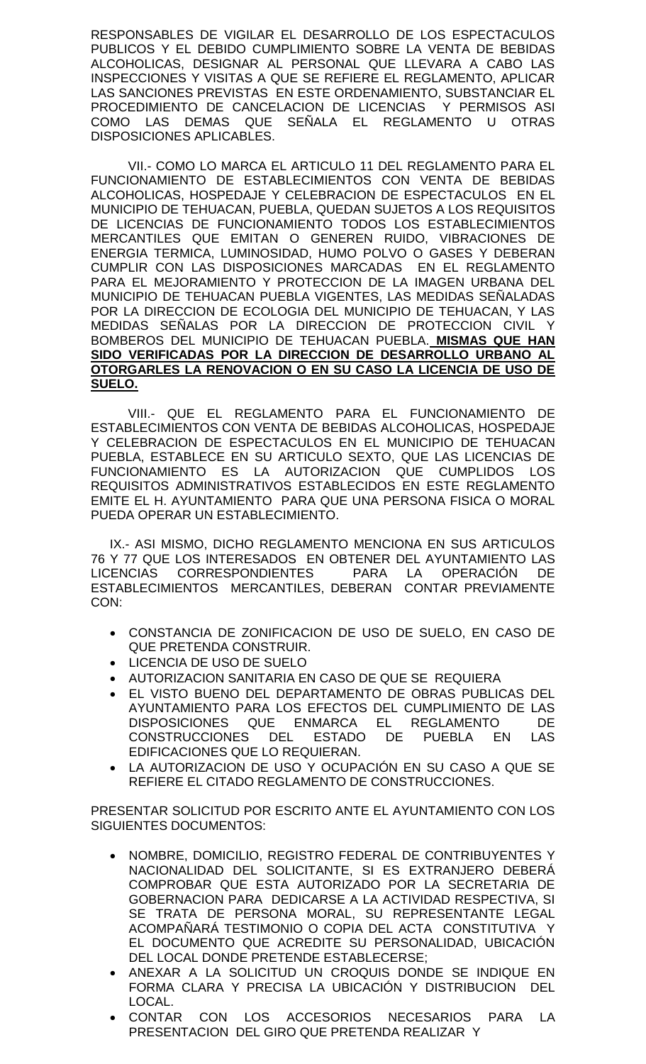RESPONSABLES DE VIGILAR EL DESARROLLO DE LOS ESPECTACULOS PUBLICOS Y EL DEBIDO CUMPLIMIENTO SOBRE LA VENTA DE BEBIDAS ALCOHOLICAS, DESIGNAR AL PERSONAL QUE LLEVARA A CABO LAS INSPECCIONES Y VISITAS A QUE SE REFIERE EL REGLAMENTO, APLICAR LAS SANCIONES PREVISTAS EN ESTE ORDENAMIENTO, SUBSTANCIAR EL PROCEDIMIENTO DE CANCELACION DE LICENCIAS Y PERMISOS ASI COMO LAS DEMAS QUE SEÑALA EL REGLAMENTO U OTRAS DISPOSICIONES APLICABLES.

VII.- COMO LO MARCA EL ARTICULO 11 DEL REGLAMENTO PARA EL FUNCIONAMIENTO DE ESTABLECIMIENTOS CON VENTA DE BEBIDAS ALCOHOLICAS, HOSPEDAJE Y CELEBRACION DE ESPECTACULOS EN EL MUNICIPIO DE TEHUACAN, PUEBLA, QUEDAN SUJETOS A LOS REQUISITOS DE LICENCIAS DE FUNCIONAMIENTO TODOS LOS ESTABLECIMIENTOS MERCANTILES QUE EMITAN O GENEREN RUIDO, VIBRACIONES DE ENERGIA TERMICA, LUMINOSIDAD, HUMO POLVO O GASES Y DEBERAN CUMPLIR CON LAS DISPOSICIONES MARCADAS EN EL REGLAMENTO PARA EL MEJORAMIENTO Y PROTECCION DE LA IMAGEN URBANA DEL MUNICIPIO DE TEHUACAN PUEBLA VIGENTES, LAS MEDIDAS SEÑALADAS POR LA DIRECCION DE ECOLOGIA DEL MUNICIPIO DE TEHUACAN, Y LAS MEDIDAS SEÑALAS POR LA DIRECCION DE PROTECCION CIVIL Y BOMBEROS DEL MUNICIPIO DE TEHUACAN PUEBLA. **MISMAS QUE HAN SIDO VERIFICADAS POR LA DIRECCION DE DESARROLLO URBANO AL OTORGARLES LA RENOVACION O EN SU CASO LA LICENCIA DE USO DE SUELO.**

VIII.- QUE EL REGLAMENTO PARA EL FUNCIONAMIENTO DE ESTABLECIMIENTOS CON VENTA DE BEBIDAS ALCOHOLICAS, HOSPEDAJE Y CELEBRACION DE ESPECTACULOS EN EL MUNICIPIO DE TEHUACAN PUEBLA, ESTABLECE EN SU ARTICULO SEXTO, QUE LAS LICENCIAS DE FUNCIONAMIENTO ES LA AUTORIZACION QUE CUMPLIDOS LOS REQUISITOS ADMINISTRATIVOS ESTABLECIDOS EN ESTE REGLAMENTO EMITE EL H. AYUNTAMIENTO PARA QUE UNA PERSONA FISICA O MORAL PUEDA OPERAR UN ESTABLECIMIENTO.

IX.- ASI MISMO, DICHO REGLAMENTO MENCIONA EN SUS ARTICULOS 76 Y 77 QUE LOS INTERESADOS EN OBTENER DEL AYUNTAMIENTO LAS LICENCIAS CORRESPONDIENTES PARA LA OPERACIÓN DE ESTABLECIMIENTOS MERCANTILES, DEBERAN CONTAR PREVIAMENTE CON:

- CONSTANCIA DE ZONIFICACION DE USO DE SUELO, EN CASO DE QUE PRETENDA CONSTRUIR.
- LICENCIA DE USO DE SUELO
- AUTORIZACION SANITARIA EN CASO DE QUE SE REQUIERA
- EL VISTO BUENO DEL DEPARTAMENTO DE OBRAS PUBLICAS DEL AYUNTAMIENTO PARA LOS EFECTOS DEL CUMPLIMIENTO DE LAS DISPOSICIONES QUE ENMARCA EL REGLAMENTO DE CONSTRUCCIONES DEL ESTADO DE PUEBLA EN LAS EDIFICACIONES QUE LO REQUIERAN.
- LA AUTORIZACION DE USO Y OCUPACIÓN EN SU CASO A QUE SE REFIERE EL CITADO REGLAMENTO DE CONSTRUCCIONES.

PRESENTAR SOLICITUD POR ESCRITO ANTE EL AYUNTAMIENTO CON LOS SIGUIENTES DOCUMENTOS:

- NOMBRE, DOMICILIO, REGISTRO FEDERAL DE CONTRIBUYENTES Y NACIONALIDAD DEL SOLICITANTE, SI ES EXTRANJERO DEBERÁ COMPROBAR QUE ESTA AUTORIZADO POR LA SECRETARIA DE GOBERNACION PARA DEDICARSE A LA ACTIVIDAD RESPECTIVA, SI SE TRATA DE PERSONA MORAL, SU REPRESENTANTE LEGAL ACOMPAÑARÁ TESTIMONIO O COPIA DEL ACTA CONSTITUTIVA Y EL DOCUMENTO QUE ACREDITE SU PERSONALIDAD, UBICACIÓN DEL LOCAL DONDE PRETENDE ESTABLECERSE;
- ANEXAR A LA SOLICITUD UN CROQUIS DONDE SE INDIQUE EN FORMA CLARA Y PRECISA LA UBICACIÓN Y DISTRIBUCION DEL LOCAL.
- CONTAR CON LOS ACCESORIOS NECESARIOS PARA LA PRESENTACION DEL GIRO QUE PRETENDA REALIZAR Y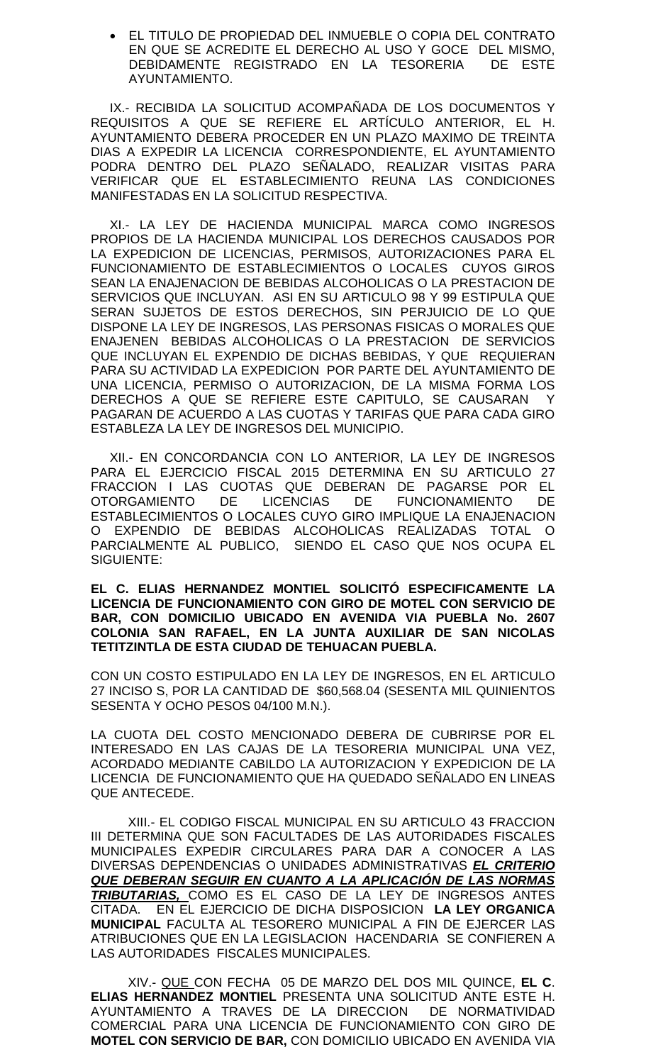EL TITULO DE PROPIEDAD DEL INMUEBLE O COPIA DEL CONTRATO EN QUE SE ACREDITE EL DERECHO AL USO Y GOCE DEL MISMO, DEBIDAMENTE REGISTRADO EN LA TESORERIA DE ESTE AYUNTAMIENTO.

IX.- RECIBIDA LA SOLICITUD ACOMPAÑADA DE LOS DOCUMENTOS Y REQUISITOS A QUE SE REFIERE EL ARTÍCULO ANTERIOR, EL H. AYUNTAMIENTO DEBERA PROCEDER EN UN PLAZO MAXIMO DE TREINTA DIAS A EXPEDIR LA LICENCIA CORRESPONDIENTE, EL AYUNTAMIENTO PODRA DENTRO DEL PLAZO SEÑALADO, REALIZAR VISITAS PARA VERIFICAR QUE EL ESTABLECIMIENTO REUNA LAS CONDICIONES MANIFESTADAS EN LA SOLICITUD RESPECTIVA.

XI.- LA LEY DE HACIENDA MUNICIPAL MARCA COMO INGRESOS PROPIOS DE LA HACIENDA MUNICIPAL LOS DERECHOS CAUSADOS POR LA EXPEDICION DE LICENCIAS, PERMISOS, AUTORIZACIONES PARA EL FUNCIONAMIENTO DE ESTABLECIMIENTOS O LOCALES CUYOS GIROS SEAN LA ENAJENACION DE BEBIDAS ALCOHOLICAS O LA PRESTACION DE SERVICIOS QUE INCLUYAN. ASI EN SU ARTICULO 98 Y 99 ESTIPULA QUE SERAN SUJETOS DE ESTOS DERECHOS, SIN PERJUICIO DE LO QUE DISPONE LA LEY DE INGRESOS, LAS PERSONAS FISICAS O MORALES QUE ENAJENEN BEBIDAS ALCOHOLICAS O LA PRESTACION DE SERVICIOS QUE INCLUYAN EL EXPENDIO DE DICHAS BEBIDAS, Y QUE REQUIERAN PARA SU ACTIVIDAD LA EXPEDICION POR PARTE DEL AYUNTAMIENTO DE UNA LICENCIA, PERMISO O AUTORIZACION, DE LA MISMA FORMA LOS DERECHOS A QUE SE REFIERE ESTE CAPITULO, SE CAUSARAN Y PAGARAN DE ACUERDO A LAS CUOTAS Y TARIFAS QUE PARA CADA GIRO ESTABLEZA LA LEY DE INGRESOS DEL MUNICIPIO.

XII.- EN CONCORDANCIA CON LO ANTERIOR, LA LEY DE INGRESOS PARA EL EJERCICIO FISCAL 2015 DETERMINA EN SU ARTICULO 27 FRACCION I LAS CUOTAS QUE DEBERAN DE PAGARSE POR EL OTORGAMIENTO DE LICENCIAS DE FUNCIONAMIENTO DE ESTABLECIMIENTOS O LOCALES CUYO GIRO IMPLIQUE LA ENAJENACION O EXPENDIO DE BEBIDAS ALCOHOLICAS REALIZADAS TOTAL O PARCIALMENTE AL PUBLICO, SIENDO EL CASO QUE NOS OCUPA EL SIGUIENTE:

**EL C. ELIAS HERNANDEZ MONTIEL SOLICITÓ ESPECIFICAMENTE LA LICENCIA DE FUNCIONAMIENTO CON GIRO DE MOTEL CON SERVICIO DE BAR, CON DOMICILIO UBICADO EN AVENIDA VIA PUEBLA No. 2607 COLONIA SAN RAFAEL, EN LA JUNTA AUXILIAR DE SAN NICOLAS TETITZINTLA DE ESTA CIUDAD DE TEHUACAN PUEBLA.**

CON UN COSTO ESTIPULADO EN LA LEY DE INGRESOS, EN EL ARTICULO 27 INCISO S, POR LA CANTIDAD DE \$60,568.04 (SESENTA MIL QUINIENTOS SESENTA Y OCHO PESOS 04/100 M.N.).

LA CUOTA DEL COSTO MENCIONADO DEBERA DE CUBRIRSE POR EL INTERESADO EN LAS CAJAS DE LA TESORERIA MUNICIPAL UNA VEZ, ACORDADO MEDIANTE CABILDO LA AUTORIZACION Y EXPEDICION DE LA LICENCIA DE FUNCIONAMIENTO QUE HA QUEDADO SEÑALADO EN LINEAS QUE ANTECEDE.

XIII.- EL CODIGO FISCAL MUNICIPAL EN SU ARTICULO 43 FRACCION III DETERMINA QUE SON FACULTADES DE LAS AUTORIDADES FISCALES MUNICIPALES EXPEDIR CIRCULARES PARA DAR A CONOCER A LAS DIVERSAS DEPENDENCIAS O UNIDADES ADMINISTRATIVAS *EL CRITERIO QUE DEBERAN SEGUIR EN CUANTO A LA APLICACIÓN DE LAS NORMAS TRIBUTARIAS,* COMO ES EL CASO DE LA LEY DE INGRESOS ANTES CITADA. EN EL EJERCICIO DE DICHA DISPOSICION **LA LEY ORGANICA MUNICIPAL** FACULTA AL TESORERO MUNICIPAL A FIN DE EJERCER LAS ATRIBUCIONES QUE EN LA LEGISLACION HACENDARIA SE CONFIEREN A LAS AUTORIDADES FISCALES MUNICIPALES.

XIV.- QUE CON FECHA 05 DE MARZO DEL DOS MIL QUINCE, **EL C**. **ELIAS HERNANDEZ MONTIEL** PRESENTA UNA SOLICITUD ANTE ESTE H. AYUNTAMIENTO A TRAVES DE LA DIRECCION DE NORMATIVIDAD COMERCIAL PARA UNA LICENCIA DE FUNCIONAMIENTO CON GIRO DE **MOTEL CON SERVICIO DE BAR,** CON DOMICILIO UBICADO EN AVENIDA VIA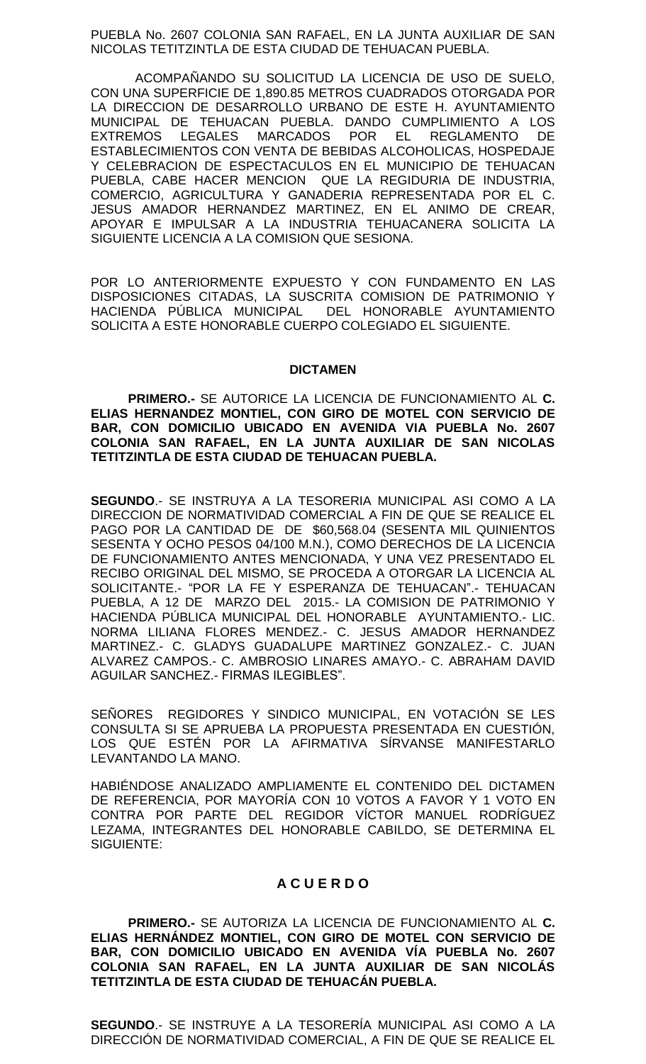PUEBLA No. 2607 COLONIA SAN RAFAEL, EN LA JUNTA AUXILIAR DE SAN NICOLAS TETITZINTLA DE ESTA CIUDAD DE TEHUACAN PUEBLA.

ACOMPAÑANDO SU SOLICITUD LA LICENCIA DE USO DE SUELO, CON UNA SUPERFICIE DE 1,890.85 METROS CUADRADOS OTORGADA POR LA DIRECCION DE DESARROLLO URBANO DE ESTE H. AYUNTAMIENTO MUNICIPAL DE TEHUACAN PUEBLA. DANDO CUMPLIMIENTO A LOS EXTREMOS LEGALES MARCADOS POR EL REGLAMENTO DE ESTABLECIMIENTOS CON VENTA DE BEBIDAS ALCOHOLICAS, HOSPEDAJE Y CELEBRACION DE ESPECTACULOS EN EL MUNICIPIO DE TEHUACAN PUEBLA, CABE HACER MENCION QUE LA REGIDURIA DE INDUSTRIA, COMERCIO, AGRICULTURA Y GANADERIA REPRESENTADA POR EL C. JESUS AMADOR HERNANDEZ MARTINEZ, EN EL ANIMO DE CREAR, APOYAR E IMPULSAR A LA INDUSTRIA TEHUACANERA SOLICITA LA SIGUIENTE LICENCIA A LA COMISION QUE SESIONA.

POR LO ANTERIORMENTE EXPUESTO Y CON FUNDAMENTO EN LAS DISPOSICIONES CITADAS, LA SUSCRITA COMISION DE PATRIMONIO Y HACIENDA PÚBLICA MUNICIPAL DEL HONORABLE AYUNTAMIENTO SOLICITA A ESTE HONORABLE CUERPO COLEGIADO EL SIGUIENTE.

#### **DICTAMEN**

**PRIMERO.-** SE AUTORICE LA LICENCIA DE FUNCIONAMIENTO AL **C. ELIAS HERNANDEZ MONTIEL, CON GIRO DE MOTEL CON SERVICIO DE BAR, CON DOMICILIO UBICADO EN AVENIDA VIA PUEBLA No. 2607 COLONIA SAN RAFAEL, EN LA JUNTA AUXILIAR DE SAN NICOLAS TETITZINTLA DE ESTA CIUDAD DE TEHUACAN PUEBLA.**

**SEGUNDO**.- SE INSTRUYA A LA TESORERIA MUNICIPAL ASI COMO A LA DIRECCION DE NORMATIVIDAD COMERCIAL A FIN DE QUE SE REALICE EL PAGO POR LA CANTIDAD DE DE \$60,568.04 (SESENTA MIL QUINIENTOS SESENTA Y OCHO PESOS 04/100 M.N.), COMO DERECHOS DE LA LICENCIA DE FUNCIONAMIENTO ANTES MENCIONADA, Y UNA VEZ PRESENTADO EL RECIBO ORIGINAL DEL MISMO, SE PROCEDA A OTORGAR LA LICENCIA AL SOLICITANTE.- "POR LA FE Y ESPERANZA DE TEHUACAN".- TEHUACAN PUEBLA, A 12 DE MARZO DEL 2015.- LA COMISION DE PATRIMONIO Y HACIENDA PÚBLICA MUNICIPAL DEL HONORABLE AYUNTAMIENTO.- LIC. NORMA LILIANA FLORES MENDEZ.- C. JESUS AMADOR HERNANDEZ MARTINEZ.- C. GLADYS GUADALUPE MARTINEZ GONZALEZ.- C. JUAN ALVAREZ CAMPOS.- C. AMBROSIO LINARES AMAYO.- C. ABRAHAM DAVID AGUILAR SANCHEZ.- FIRMAS ILEGIBLES".

SEÑORES REGIDORES Y SINDICO MUNICIPAL, EN VOTACIÓN SE LES CONSULTA SI SE APRUEBA LA PROPUESTA PRESENTADA EN CUESTIÓN, LOS QUE ESTÉN POR LA AFIRMATIVA SÍRVANSE MANIFESTARLO LEVANTANDO LA MANO.

HABIÉNDOSE ANALIZADO AMPLIAMENTE EL CONTENIDO DEL DICTAMEN DE REFERENCIA, POR MAYORÍA CON 10 VOTOS A FAVOR Y 1 VOTO EN CONTRA POR PARTE DEL REGIDOR VÍCTOR MANUEL RODRÍGUEZ LEZAMA, INTEGRANTES DEL HONORABLE CABILDO, SE DETERMINA EL SIGUIENTE:

# **A C U E R D O**

**PRIMERO.-** SE AUTORIZA LA LICENCIA DE FUNCIONAMIENTO AL **C. ELIAS HERNÁNDEZ MONTIEL, CON GIRO DE MOTEL CON SERVICIO DE BAR, CON DOMICILIO UBICADO EN AVENIDA VÍA PUEBLA No. 2607 COLONIA SAN RAFAEL, EN LA JUNTA AUXILIAR DE SAN NICOLÁS TETITZINTLA DE ESTA CIUDAD DE TEHUACÁN PUEBLA.**

**SEGUNDO**.- SE INSTRUYE A LA TESORERÍA MUNICIPAL ASI COMO A LA DIRECCIÓN DE NORMATIVIDAD COMERCIAL, A FIN DE QUE SE REALICE EL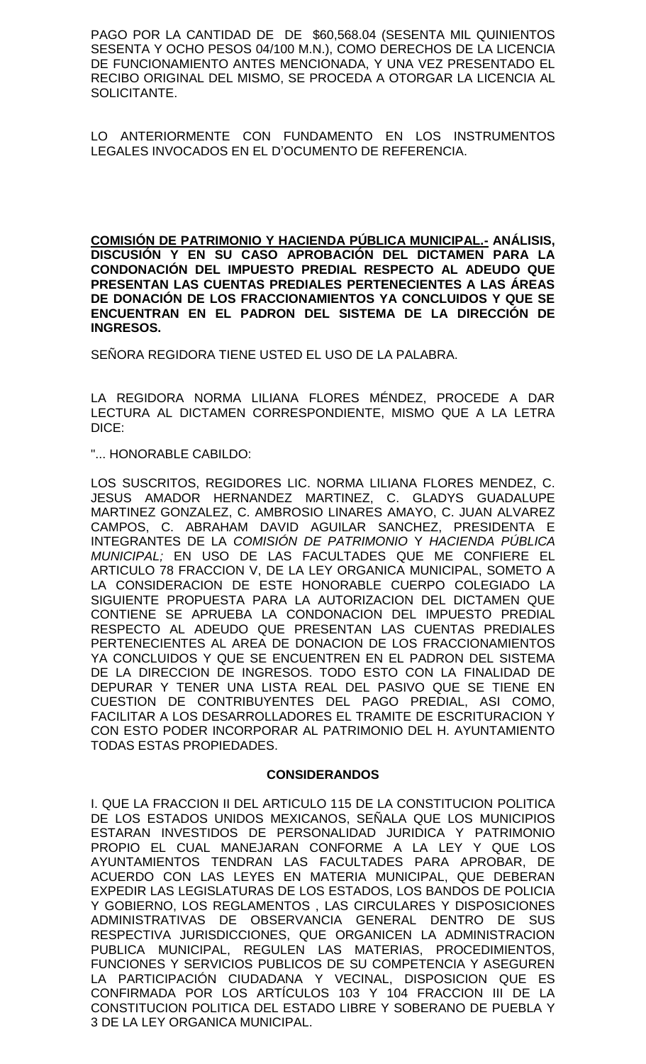PAGO POR LA CANTIDAD DE DE \$60,568.04 (SESENTA MIL QUINIENTOS SESENTA Y OCHO PESOS 04/100 M.N.), COMO DERECHOS DE LA LICENCIA DE FUNCIONAMIENTO ANTES MENCIONADA, Y UNA VEZ PRESENTADO EL RECIBO ORIGINAL DEL MISMO, SE PROCEDA A OTORGAR LA LICENCIA AL SOLICITANTE.

LO ANTERIORMENTE CON FUNDAMENTO EN LOS INSTRUMENTOS LEGALES INVOCADOS EN EL D'OCUMENTO DE REFERENCIA.

**COMISIÓN DE PATRIMONIO Y HACIENDA PÚBLICA MUNICIPAL.- ANÁLISIS, DISCUSIÓN Y EN SU CASO APROBACIÓN DEL DICTAMEN PARA LA CONDONACIÓN DEL IMPUESTO PREDIAL RESPECTO AL ADEUDO QUE PRESENTAN LAS CUENTAS PREDIALES PERTENECIENTES A LAS ÁREAS DE DONACIÓN DE LOS FRACCIONAMIENTOS YA CONCLUIDOS Y QUE SE ENCUENTRAN EN EL PADRON DEL SISTEMA DE LA DIRECCIÓN DE INGRESOS.**

SEÑORA REGIDORA TIENE USTED EL USO DE LA PALABRA.

LA REGIDORA NORMA LILIANA FLORES MÉNDEZ, PROCEDE A DAR LECTURA AL DICTAMEN CORRESPONDIENTE, MISMO QUE A LA LETRA DICE:

"... HONORABLE CABILDO:

LOS SUSCRITOS, REGIDORES LIC. NORMA LILIANA FLORES MENDEZ, C. JESUS AMADOR HERNANDEZ MARTINEZ, C. GLADYS GUADALUPE MARTINEZ GONZALEZ, C. AMBROSIO LINARES AMAYO, C. JUAN ALVAREZ CAMPOS, C. ABRAHAM DAVID AGUILAR SANCHEZ, PRESIDENTA E INTEGRANTES DE LA *COMISIÓN DE PATRIMONIO* Y *HACIENDA PÚBLICA MUNICIPAL;* EN USO DE LAS FACULTADES QUE ME CONFIERE EL ARTICULO 78 FRACCION V, DE LA LEY ORGANICA MUNICIPAL, SOMETO A LA CONSIDERACION DE ESTE HONORABLE CUERPO COLEGIADO LA SIGUIENTE PROPUESTA PARA LA AUTORIZACION DEL DICTAMEN QUE CONTIENE SE APRUEBA LA CONDONACION DEL IMPUESTO PREDIAL RESPECTO AL ADEUDO QUE PRESENTAN LAS CUENTAS PREDIALES PERTENECIENTES AL AREA DE DONACION DE LOS FRACCIONAMIENTOS YA CONCLUIDOS Y QUE SE ENCUENTREN EN EL PADRON DEL SISTEMA DE LA DIRECCION DE INGRESOS. TODO ESTO CON LA FINALIDAD DE DEPURAR Y TENER UNA LISTA REAL DEL PASIVO QUE SE TIENE EN CUESTION DE CONTRIBUYENTES DEL PAGO PREDIAL, ASI COMO, FACILITAR A LOS DESARROLLADORES EL TRAMITE DE ESCRITURACION Y CON ESTO PODER INCORPORAR AL PATRIMONIO DEL H. AYUNTAMIENTO TODAS ESTAS PROPIEDADES.

## **CONSIDERANDOS**

I. QUE LA FRACCION II DEL ARTICULO 115 DE LA CONSTITUCION POLITICA DE LOS ESTADOS UNIDOS MEXICANOS, SEÑALA QUE LOS MUNICIPIOS ESTARAN INVESTIDOS DE PERSONALIDAD JURIDICA Y PATRIMONIO PROPIO EL CUAL MANEJARAN CONFORME A LA LEY Y QUE LOS AYUNTAMIENTOS TENDRAN LAS FACULTADES PARA APROBAR, DE ACUERDO CON LAS LEYES EN MATERIA MUNICIPAL, QUE DEBERAN EXPEDIR LAS LEGISLATURAS DE LOS ESTADOS, LOS BANDOS DE POLICIA Y GOBIERNO, LOS REGLAMENTOS , LAS CIRCULARES Y DISPOSICIONES ADMINISTRATIVAS DE OBSERVANCIA GENERAL DENTRO DE SUS RESPECTIVA JURISDICCIONES, QUE ORGANICEN LA ADMINISTRACION PUBLICA MUNICIPAL, REGULEN LAS MATERIAS, PROCEDIMIENTOS, FUNCIONES Y SERVICIOS PUBLICOS DE SU COMPETENCIA Y ASEGUREN LA PARTICIPACIÓN CIUDADANA Y VECINAL, DISPOSICION QUE ES CONFIRMADA POR LOS ARTÍCULOS 103 Y 104 FRACCION III DE LA CONSTITUCION POLITICA DEL ESTADO LIBRE Y SOBERANO DE PUEBLA Y 3 DE LA LEY ORGANICA MUNICIPAL.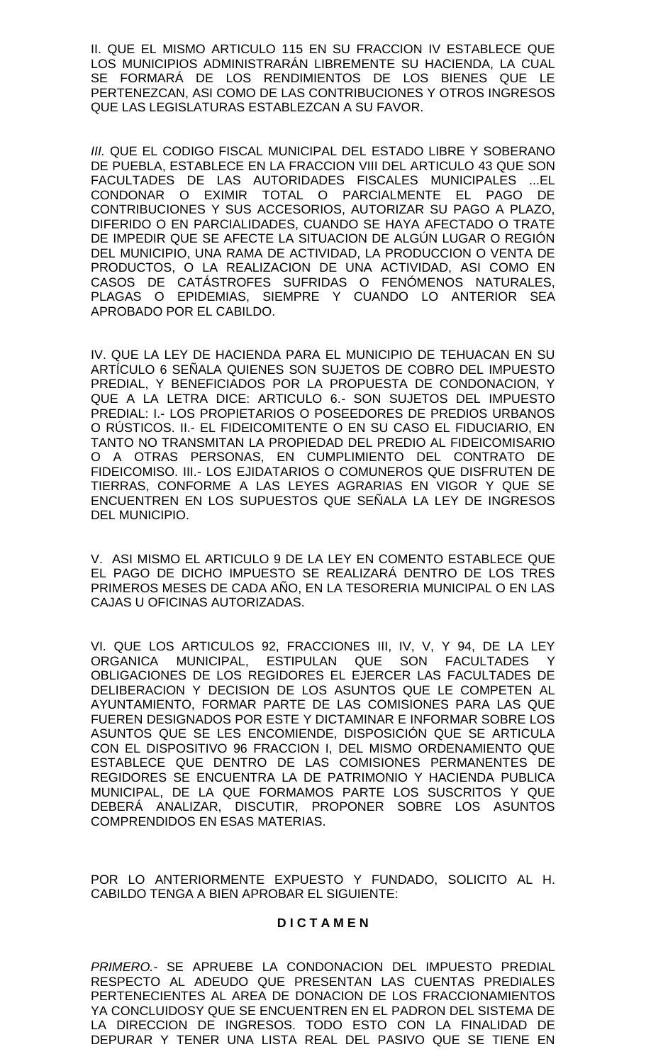II. QUE EL MISMO ARTICULO 115 EN SU FRACCION IV ESTABLECE QUE LOS MUNICIPIOS ADMINISTRARÁN LIBREMENTE SU HACIENDA, LA CUAL SE FORMARÁ DE LOS RENDIMIENTOS DE LOS BIENES QUE LE PERTENEZCAN, ASI COMO DE LAS CONTRIBUCIONES Y OTROS INGRESOS QUE LAS LEGISLATURAS ESTABLEZCAN A SU FAVOR.

**III. QUE EL CODIGO FISCAL MUNICIPAL DEL ESTADO LIBRE Y SOBERANO** DE PUEBLA, ESTABLECE EN LA FRACCION VIII DEL ARTICULO 43 QUE SON FACULTADES DE LAS AUTORIDADES FISCALES MUNICIPALES ...EL CONDONAR O EXIMIR TOTAL O PARCIALMENTE EL PAGO DE CONTRIBUCIONES Y SUS ACCESORIOS, AUTORIZAR SU PAGO A PLAZO, DIFERIDO O EN PARCIALIDADES, CUANDO SE HAYA AFECTADO O TRATE DE IMPEDIR QUE SE AFECTE LA SITUACION DE ALGÚN LUGAR O REGIÓN DEL MUNICIPIO, UNA RAMA DE ACTIVIDAD, LA PRODUCCION O VENTA DE PRODUCTOS, O LA REALIZACION DE UNA ACTIVIDAD, ASI COMO EN CASOS DE CATÁSTROFES SUFRIDAS O FENÓMENOS NATURALES, PLAGAS O EPIDEMIAS, SIEMPRE Y CUANDO LO ANTERIOR SEA APROBADO POR EL CABILDO.

IV. QUE LA LEY DE HACIENDA PARA EL MUNICIPIO DE TEHUACAN EN SU ARTÍCULO 6 SEÑALA QUIENES SON SUJETOS DE COBRO DEL IMPUESTO PREDIAL, Y BENEFICIADOS POR LA PROPUESTA DE CONDONACION, Y QUE A LA LETRA DICE: ARTICULO 6.- SON SUJETOS DEL IMPUESTO PREDIAL: I.- LOS PROPIETARIOS O POSEEDORES DE PREDIOS URBANOS O RÚSTICOS. II.- EL FIDEICOMITENTE O EN SU CASO EL FIDUCIARIO, EN TANTO NO TRANSMITAN LA PROPIEDAD DEL PREDIO AL FIDEICOMISARIO O A OTRAS PERSONAS, EN CUMPLIMIENTO DEL CONTRATO DE FIDEICOMISO. III.- LOS EJIDATARIOS O COMUNEROS QUE DISFRUTEN DE TIERRAS, CONFORME A LAS LEYES AGRARIAS EN VIGOR Y QUE SE ENCUENTREN EN LOS SUPUESTOS QUE SEÑALA LA LEY DE INGRESOS DEL MUNICIPIO.

V. ASI MISMO EL ARTICULO 9 DE LA LEY EN COMENTO ESTABLECE QUE EL PAGO DE DICHO IMPUESTO SE REALIZARÁ DENTRO DE LOS TRES PRIMEROS MESES DE CADA AÑO, EN LA TESORERIA MUNICIPAL O EN LAS CAJAS U OFICINAS AUTORIZADAS.

VI. QUE LOS ARTICULOS 92, FRACCIONES III, IV, V, Y 94, DE LA LEY ORGANICA MUNICIPAL, ESTIPULAN QUE SON FACULTADES Y OBLIGACIONES DE LOS REGIDORES EL EJERCER LAS FACULTADES DE DELIBERACION Y DECISION DE LOS ASUNTOS QUE LE COMPETEN AL AYUNTAMIENTO, FORMAR PARTE DE LAS COMISIONES PARA LAS QUE FUEREN DESIGNADOS POR ESTE Y DICTAMINAR E INFORMAR SOBRE LOS ASUNTOS QUE SE LES ENCOMIENDE, DISPOSICIÓN QUE SE ARTICULA CON EL DISPOSITIVO 96 FRACCION I, DEL MISMO ORDENAMIENTO QUE ESTABLECE QUE DENTRO DE LAS COMISIONES PERMANENTES DE REGIDORES SE ENCUENTRA LA DE PATRIMONIO Y HACIENDA PUBLICA MUNICIPAL, DE LA QUE FORMAMOS PARTE LOS SUSCRITOS Y QUE DEBERÁ ANALIZAR, DISCUTIR, PROPONER SOBRE LOS ASUNTOS COMPRENDIDOS EN ESAS MATERIAS.

POR LO ANTERIORMENTE EXPUESTO Y FUNDADO, SOLICITO AL H. CABILDO TENGA A BIEN APROBAR EL SIGUIENTE:

## **D I C T A M E N**

*PRIMERO.-* SE APRUEBE LA CONDONACION DEL IMPUESTO PREDIAL RESPECTO AL ADEUDO QUE PRESENTAN LAS CUENTAS PREDIALES PERTENECIENTES AL AREA DE DONACION DE LOS FRACCIONAMIENTOS YA CONCLUIDOSY QUE SE ENCUENTREN EN EL PADRON DEL SISTEMA DE LA DIRECCION DE INGRESOS. TODO ESTO CON LA FINALIDAD DE DEPURAR Y TENER UNA LISTA REAL DEL PASIVO QUE SE TIENE EN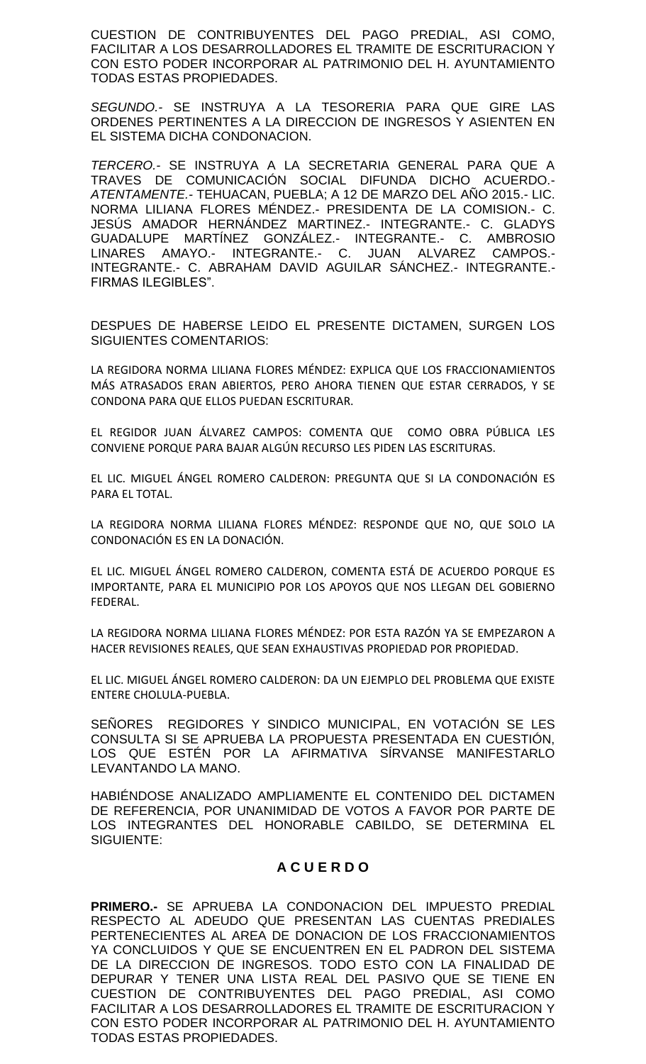CUESTION DE CONTRIBUYENTES DEL PAGO PREDIAL, ASI COMO, FACILITAR A LOS DESARROLLADORES EL TRAMITE DE ESCRITURACION Y CON ESTO PODER INCORPORAR AL PATRIMONIO DEL H. AYUNTAMIENTO TODAS ESTAS PROPIEDADES.

*SEGUNDO.-* SE INSTRUYA A LA TESORERIA PARA QUE GIRE LAS ORDENES PERTINENTES A LA DIRECCION DE INGRESOS Y ASIENTEN EN EL SISTEMA DICHA CONDONACION.

*TERCERO.-* SE INSTRUYA A LA SECRETARIA GENERAL PARA QUE A TRAVES DE COMUNICACIÓN SOCIAL DIFUNDA DICHO ACUERDO.- *ATENTAMENTE.-* TEHUACAN, PUEBLA; A 12 DE MARZO DEL AÑO 2015.- LIC. NORMA LILIANA FLORES MÉNDEZ.- PRESIDENTA DE LA COMISION.- C. JESÚS AMADOR HERNÁNDEZ MARTINEZ.- INTEGRANTE.- C. GLADYS GUADALUPE MARTÍNEZ GONZÁLEZ.- INTEGRANTE.- C. AMBROSIO LINARES AMAYO.- INTEGRANTE.- C. JUAN ALVAREZ CAMPOS.- INTEGRANTE.- C. ABRAHAM DAVID AGUILAR SÁNCHEZ.- INTEGRANTE.- FIRMAS ILEGIBLES".

DESPUES DE HABERSE LEIDO EL PRESENTE DICTAMEN, SURGEN LOS SIGUIENTES COMENTARIOS:

LA REGIDORA NORMA LILIANA FLORES MÉNDEZ: EXPLICA QUE LOS FRACCIONAMIENTOS MÁS ATRASADOS ERAN ABIERTOS, PERO AHORA TIENEN QUE ESTAR CERRADOS, Y SE CONDONA PARA QUE ELLOS PUEDAN ESCRITURAR.

EL REGIDOR JUAN ÁLVAREZ CAMPOS: COMENTA QUE COMO OBRA PÚBLICA LES CONVIENE PORQUE PARA BAJAR ALGÚN RECURSO LES PIDEN LAS ESCRITURAS.

EL LIC. MIGUEL ÁNGEL ROMERO CALDERON: PREGUNTA QUE SI LA CONDONACIÓN ES PARA EL TOTAL.

LA REGIDORA NORMA LILIANA FLORES MÉNDEZ: RESPONDE QUE NO, QUE SOLO LA CONDONACIÓN ES EN LA DONACIÓN.

EL LIC. MIGUEL ÁNGEL ROMERO CALDERON, COMENTA ESTÁ DE ACUERDO PORQUE ES IMPORTANTE, PARA EL MUNICIPIO POR LOS APOYOS QUE NOS LLEGAN DEL GOBIERNO FEDERAL.

LA REGIDORA NORMA LILIANA FLORES MÉNDEZ: POR ESTA RAZÓN YA SE EMPEZARON A HACER REVISIONES REALES, QUE SEAN EXHAUSTIVAS PROPIEDAD POR PROPIEDAD.

EL LIC. MIGUEL ÁNGEL ROMERO CALDERON: DA UN EJEMPLO DEL PROBLEMA QUE EXISTE ENTERE CHOLULA-PUEBLA.

SEÑORES REGIDORES Y SINDICO MUNICIPAL, EN VOTACIÓN SE LES CONSULTA SI SE APRUEBA LA PROPUESTA PRESENTADA EN CUESTIÓN, LOS QUE ESTÉN POR LA AFIRMATIVA SÍRVANSE MANIFESTARLO LEVANTANDO LA MANO.

HABIÉNDOSE ANALIZADO AMPLIAMENTE EL CONTENIDO DEL DICTAMEN DE REFERENCIA, POR UNANIMIDAD DE VOTOS A FAVOR POR PARTE DE LOS INTEGRANTES DEL HONORABLE CABILDO, SE DETERMINA EL SIGUIENTE:

# **A C U E R D O**

**PRIMERO.-** SE APRUEBA LA CONDONACION DEL IMPUESTO PREDIAL RESPECTO AL ADEUDO QUE PRESENTAN LAS CUENTAS PREDIALES PERTENECIENTES AL AREA DE DONACION DE LOS FRACCIONAMIENTOS YA CONCLUIDOS Y QUE SE ENCUENTREN EN EL PADRON DEL SISTEMA DE LA DIRECCION DE INGRESOS. TODO ESTO CON LA FINALIDAD DE DEPURAR Y TENER UNA LISTA REAL DEL PASIVO QUE SE TIENE EN CUESTION DE CONTRIBUYENTES DEL PAGO PREDIAL, ASI COMO FACILITAR A LOS DESARROLLADORES EL TRAMITE DE ESCRITURACION Y CON ESTO PODER INCORPORAR AL PATRIMONIO DEL H. AYUNTAMIENTO TODAS ESTAS PROPIEDADES.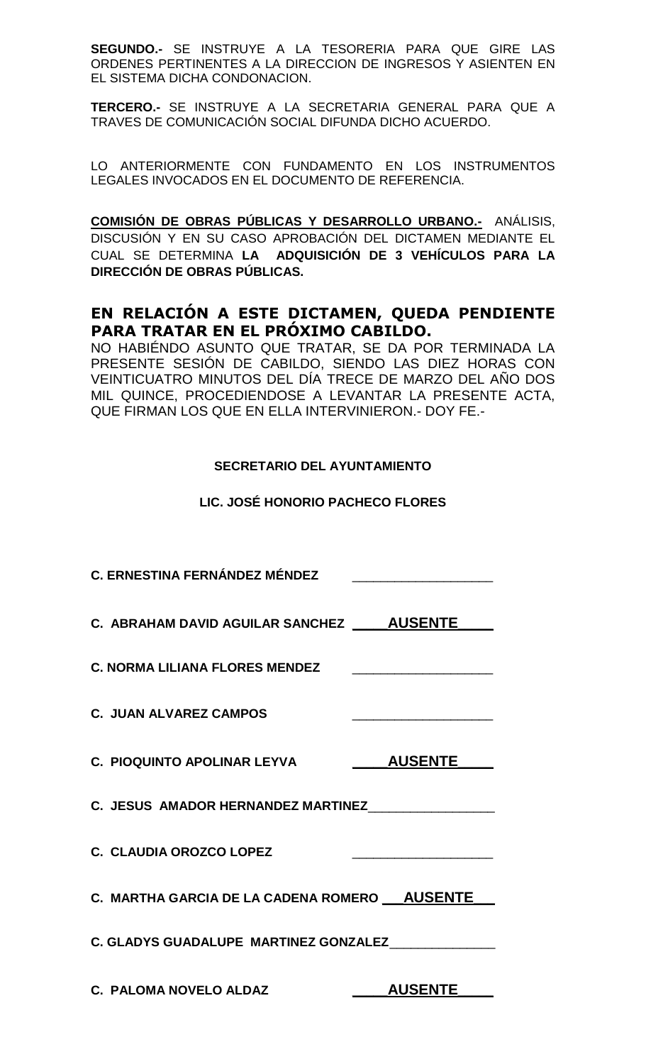**SEGUNDO.-** SE INSTRUYE A LA TESORERIA PARA QUE GIRE LAS ORDENES PERTINENTES A LA DIRECCION DE INGRESOS Y ASIENTEN EN EL SISTEMA DICHA CONDONACION.

**TERCERO.-** SE INSTRUYE A LA SECRETARIA GENERAL PARA QUE A TRAVES DE COMUNICACIÓN SOCIAL DIFUNDA DICHO ACUERDO.

LO ANTERIORMENTE CON FUNDAMENTO EN LOS INSTRUMENTOS LEGALES INVOCADOS EN EL DOCUMENTO DE REFERENCIA.

**COMISIÓN DE OBRAS PÚBLICAS Y DESARROLLO URBANO.-** ANÁLISIS, DISCUSIÓN Y EN SU CASO APROBACIÓN DEL DICTAMEN MEDIANTE EL CUAL SE DETERMINA **LA ADQUISICIÓN DE 3 VEHÍCULOS PARA LA DIRECCIÓN DE OBRAS PÚBLICAS.**

# **EN RELACIÓN A ESTE DICTAMEN, QUEDA PENDIENTE PARA TRATAR EN EL PRÓXIMO CABILDO.**

NO HABIÉNDO ASUNTO QUE TRATAR, SE DA POR TERMINADA LA PRESENTE SESIÓN DE CABILDO, SIENDO LAS DIEZ HORAS CON VEINTICUATRO MINUTOS DEL DÍA TRECE DE MARZO DEL AÑO DOS MIL QUINCE, PROCEDIENDOSE A LEVANTAR LA PRESENTE ACTA, QUE FIRMAN LOS QUE EN ELLA INTERVINIERON.- DOY FE.-

# **SECRETARIO DEL AYUNTAMIENTO**

# **LIC. JOSÉ HONORIO PACHECO FLORES**

| <b>C. ERNESTINA FERNÁNDEZ MÉNDEZ</b>            |                |
|-------------------------------------------------|----------------|
| C. ABRAHAM DAVID AGUILAR SANCHEZ _____AUSENTE   |                |
| <b>C. NORMA LILIANA FLORES MENDEZ</b>           |                |
| <b>C. JUAN ALVAREZ CAMPOS</b>                   |                |
| C. PIOQUINTO APOLINAR LEYVA                     | <b>AUSENTE</b> |
| C. JESUS AMADOR HERNANDEZ MARTINEZ              |                |
| C. CLAUDIA OROZCO LOPEZ                         |                |
| C. MARTHA GARCIA DE LA CADENA ROMERO __ AUSENTE |                |
| C. GLADYS GUADALUPE MARTINEZ GONZALEZ           |                |
| C. PALOMA NOVELO ALDAZ                          | <b>AUSENTE</b> |